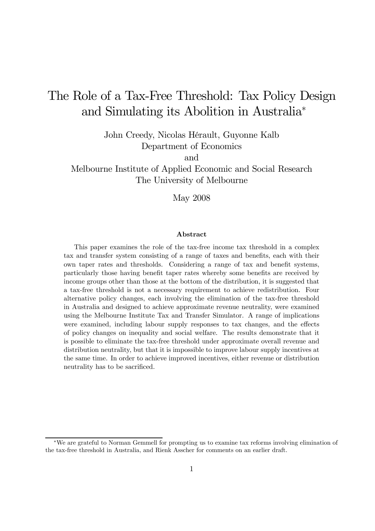# The Role of a Tax-Free Threshold: Tax Policy Design and Simulating its Abolition in Australia<sup>∗</sup>

John Creedy, Nicolas Hérault, Guyonne Kalb Department of Economics

and

Melbourne Institute of Applied Economic and Social Research The University of Melbourne

May 2008

#### Abstract

This paper examines the role of the tax-free income tax threshold in a complex tax and transfer system consisting of a range of taxes and benefits, each with their own taper rates and thresholds. Considering a range of tax and benefit systems, particularly those having benefit taper rates whereby some benefits are received by income groups other than those at the bottom of the distribution, it is suggested that a tax-free threshold is not a necessary requirement to achieve redistribution. Four alternative policy changes, each involving the elimination of the tax-free threshold in Australia and designed to achieve approximate revenue neutrality, were examined using the Melbourne Institute Tax and Transfer Simulator. A range of implications were examined, including labour supply responses to tax changes, and the effects of policy changes on inequality and social welfare. The results demonstrate that it is possible to eliminate the tax-free threshold under approximate overall revenue and distribution neutrality, but that it is impossible to improve labour supply incentives at the same time. In order to achieve improved incentives, either revenue or distribution neutrality has to be sacrificed.

<sup>∗</sup>We are grateful to Norman Gemmell for prompting us to examine tax reforms involving elimination of the tax-free threshold in Australia, and Rienk Asscher for comments on an earlier draft.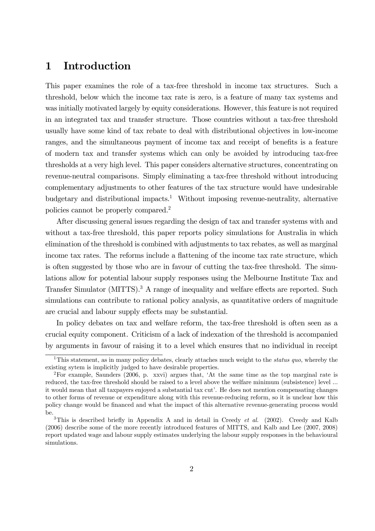# 1 Introduction

This paper examines the role of a tax-free threshold in income tax structures. Such a threshold, below which the income tax rate is zero, is a feature of many tax systems and was initially motivated largely by equity considerations. However, this feature is not required in an integrated tax and transfer structure. Those countries without a tax-free threshold usually have some kind of tax rebate to deal with distributional objectives in low-income ranges, and the simultaneous payment of income tax and receipt of benefits is a feature of modern tax and transfer systems which can only be avoided by introducing tax-free thresholds at a very high level. This paper considers alternative structures, concentrating on revenue-neutral comparisons. Simply eliminating a tax-free threshold without introducing complementary adjustments to other features of the tax structure would have undesirable budgetary and distributional impacts.<sup>1</sup> Without imposing revenue-neutrality, alternative policies cannot be properly compared.2

After discussing general issues regarding the design of tax and transfer systems with and without a tax-free threshold, this paper reports policy simulations for Australia in which elimination of the threshold is combined with adjustments to tax rebates, as well as marginal income tax rates. The reforms include a flattening of the income tax rate structure, which is often suggested by those who are in favour of cutting the tax-free threshold. The simulations allow for potential labour supply responses using the Melbourne Institute Tax and Transfer Simulator (MITTS).3 A range of inequality and welfare effects are reported. Such simulations can contribute to rational policy analysis, as quantitative orders of magnitude are crucial and labour supply effects may be substantial.

In policy debates on tax and welfare reform, the tax-free threshold is often seen as a crucial equity component. Criticism of a lack of indexation of the threshold is accompanied by arguments in favour of raising it to a level which ensures that no individual in receipt

<sup>&</sup>lt;sup>1</sup>This statement, as in many policy debates, clearly attaches much weight to the *status quo*, whereby the existing sytem is implicitly judged to have desirable properties.

<sup>2</sup>For example, Saunders (2006, p. xxvi) argues that, 'At the same time as the top marginal rate is reduced, the tax-free threshold should be raised to a level above the welfare minimum (subsistence) level ... it would mean that all taxpayers enjoyed a substantial tax cut'. He does not mention compensating changes to other forms of revenue or expenditure along with this revenue-reducing reform, so it is unclear how this policy change would be financed and what the impact of this alternative revenue-generating process would be.

<sup>&</sup>lt;sup>3</sup>This is described briefly in Appendix A and in detail in Creedy  $et$  al. (2002). Creedy and Kalb (2006) describe some of the more recently introduced features of MITTS, and Kalb and Lee (2007, 2008) report updated wage and labour supply estimates underlying the labour supply responses in the behavioural simulations.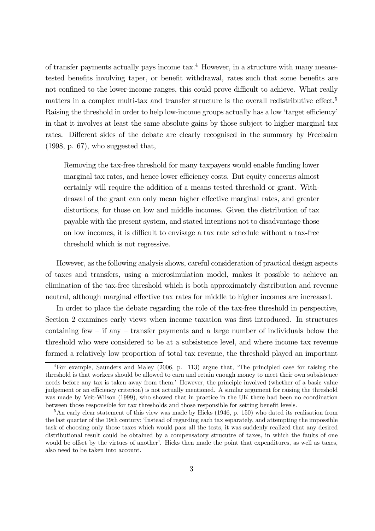of transfer payments actually pays income  $\text{tax.}^4$  However, in a structure with many meanstested benefits involving taper, or benefit withdrawal, rates such that some benefits are not confined to the lower-income ranges, this could prove difficult to achieve. What really matters in a complex multi-tax and transfer structure is the overall redistributive effect.<sup>5</sup> Raising the threshold in order to help low-income groups actually has a low 'target efficiency' in that it involves at least the same absolute gains by those subject to higher marginal tax rates. Different sides of the debate are clearly recognised in the summary by Freebairn (1998, p. 67), who suggested that,

Removing the tax-free threshold for many taxpayers would enable funding lower marginal tax rates, and hence lower efficiency costs. But equity concerns almost certainly will require the addition of a means tested threshold or grant. Withdrawal of the grant can only mean higher effective marginal rates, and greater distortions, for those on low and middle incomes. Given the distribution of tax payable with the present system, and stated intentions not to disadvantage those on low incomes, it is difficult to envisage a tax rate schedule without a tax-free threshold which is not regressive.

However, as the following analysis shows, careful consideration of practical design aspects of taxes and transfers, using a microsimulation model, makes it possible to achieve an elimination of the tax-free threshold which is both approximately distribution and revenue neutral, although marginal effective tax rates for middle to higher incomes are increased.

In order to place the debate regarding the role of the tax-free threshold in perspective, Section 2 examines early views when income taxation was first introduced. In structures containing few  $-$  if any  $-$  transfer payments and a large number of individuals below the threshold who were considered to be at a subsistence level, and where income tax revenue formed a relatively low proportion of total tax revenue, the threshold played an important

<sup>4</sup>For example, Saunders and Maley (2006, p. 113) argue that, 'The principled case for raising the threshold is that workers should be allowed to earn and retain enough money to meet their own subsistence needs before any tax is taken away from them.' However, the principle involved (whether of a basic value judgement or an efficiency criterion) is not actually mentioned. A similar argument for raising the threshold was made by Veit-Wilson (1999), who showed that in practice in the UK there had been no coordination between those responsible for tax thresholds and those responsible for setting benefit levels.

 $5$ An early clear statement of this view was made by Hicks (1946, p. 150) who dated its realisation from the last quarter of the 19th century: 'Instead of regarding each tax separately, and attempting the impossible task of choosing only those taxes which would pass all the tests, it was suddenly realized that any desired distributional result could be obtained by a compensatory strucutre of taxes, in which the faults of one would be offset by the virtues of another'. Hicks then made the point that expenditures, as well as taxes, also need to be taken into account.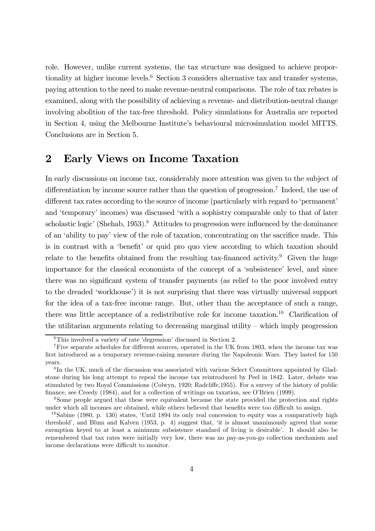role. However, unlike current systems, the tax structure was designed to achieve proportionality at higher income levels.<sup>6</sup> Section 3 considers alternative tax and transfer systems, paying attention to the need to make revenue-neutral comparisons. The role of tax rebates is examined, along with the possibility of achieving a revenue- and distribution-neutral change involving abolition of the tax-free threshold. Policy simulations for Australia are reported in Section 4, using the Melbourne Institute's behavioural microsimulation model MITTS. Conclusions are in Section 5.

# 2 Early Views on Income Taxation

In early discussions on income tax, considerably more attention was given to the subject of differentiation by income source rather than the question of progression.<sup>7</sup> Indeed, the use of different tax rates according to the source of income (particularly with regard to 'permanent' and 'temporary' incomes) was discussed 'with a sophistry comparable only to that of later scholastic logic' (Shehab, 1953).<sup>8</sup> Attitudes to progression were influenced by the dominance of an 'ability to pay' view of the role of taxation, concentrating on the sacrifice made. This is in contrast with a 'benefit' or quid pro quo view according to which taxation should relate to the benefits obtained from the resulting tax-financed activity.<sup>9</sup> Given the huge importance for the classical economists of the concept of a 'subsistence' level, and since there was no significant system of transfer payments (as relief to the poor involved entry to the dreaded 'workhouse') it is not surprising that there was virtually universal support for the idea of a tax-free income range. But, other than the acceptance of such a range, there was little acceptance of a redistributive role for income taxation.10 Clarification of the utilitarian arguments relating to decreasing marginal utility — which imply progression

<sup>6</sup>This involved a variety of rate 'degression' discussed in Section 2.

<sup>7</sup>Five separate schedules for different sources, operated in the UK from 1803, when the income tax was first introduced as a temporary revenue-raising measure during the Napoleonic Wars. They lasted for 150 years.

<sup>8</sup> In the UK, much of the discussion was associated with various Select Committees appointed by Gladstone during his long attempt to repeal the income tax reintroduced by Peel in 1842. Later, debate was stimulated by two Royal Commissions (Colwyn, 1920; Radcliffe,1955). For a survey of the history of public finance, see Creedy (1984), and for a collection of writings on taxation, see O'Brien (1999).

<sup>&</sup>lt;sup>9</sup>Some people argued that these were equivalent because the state provided the protection and rights under which all incomes are obtained, while others believed that benefits were too difficult to assign.

<sup>10</sup>Sabine (1980, p. 130) states, 'Until 1894 its only real concession to equity was a comparatively high threshold', and Blum and Kalven (1953, p. 4) suggest that, 'it is almost unanimously agreed that some exemption keyed to at least a minimum subsistence standard of living is desirable'. It should also be remembered that tax rates were initially very low, there was no pay-as-you-go collection mechanism and income declarations were difficult to monitor.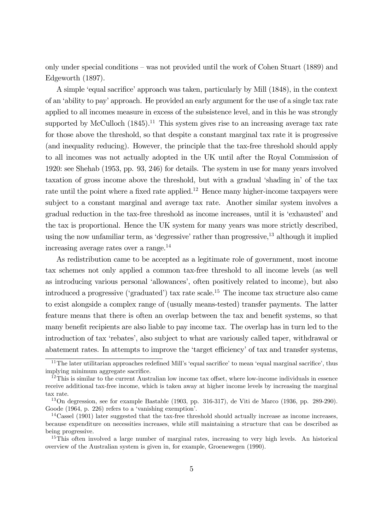only under special conditions — was not provided until the work of Cohen Stuart (1889) and Edgeworth (1897).

A simple 'equal sacrifice' approach was taken, particularly by Mill (1848), in the context of an 'ability to pay' approach. He provided an early argument for the use of a single tax rate applied to all incomes measure in excess of the subsistence level, and in this he was strongly supported by McCulloch  $(1845)^{11}$  This system gives rise to an increasing average tax rate for those above the threshold, so that despite a constant marginal tax rate it is progressive (and inequality reducing). However, the principle that the tax-free threshold should apply to all incomes was not actually adopted in the UK until after the Royal Commission of 1920: see Shehab (1953, pp. 93, 246) for details. The system in use for many years involved taxation of gross income above the threshold, but with a gradual 'shading in' of the tax rate until the point where a fixed rate applied.<sup>12</sup> Hence many higher-income taxpayers were subject to a constant marginal and average tax rate. Another similar system involves a gradual reduction in the tax-free threshold as income increases, until it is 'exhausted' and the tax is proportional. Hence the UK system for many years was more strictly described, using the now unfamiliar term, as 'degressive' rather than progressive, $^{13}$  although it implied increasing average rates over a range.<sup>14</sup>

As redistribution came to be accepted as a legitimate role of government, most income tax schemes not only applied a common tax-free threshold to all income levels (as well as introducing various personal 'allowances', often positively related to income), but also introduced a progressive ('graduated') tax rate scale.15 The income tax structure also came to exist alongside a complex range of (usually means-tested) transfer payments. The latter feature means that there is often an overlap between the tax and benefit systems, so that many benefit recipients are also liable to pay income tax. The overlap has in turn led to the introduction of tax 'rebates', also subject to what are variously called taper, withdrawal or abatement rates. In attempts to improve the 'target efficiency' of tax and transfer systems,

<sup>&</sup>lt;sup>11</sup>The later utilitarian approaches redefined Mill's 'equal sacrifice' to mean 'equal marginal sacrifice', thus implying minimum aggregate sacrifice.

<sup>&</sup>lt;sup>12</sup>This is similar to the current Australian low income tax offset, where low-income individuals in essence receive additional tax-free income, which is taken away at higher income levels by increasing the marginal tax rate.

<sup>13</sup>On degression, see for example Bastable (1903, pp. 316-317), de Viti de Marco (1936, pp. 289-290). Goode (1964, p. 226) refers to a 'vanishing exemption'.

 $14\text{Cassel}$  (1901) later suggested that the tax-free threshold should actually increase as income increases, because expenditure on necessities increases, while still maintaining a structure that can be described as being progressive.

<sup>&</sup>lt;sup>15</sup>This often involved a large number of marginal rates, increasing to very high levels. An historical overview of the Australian system is given in, for example, Groenewegen (1990).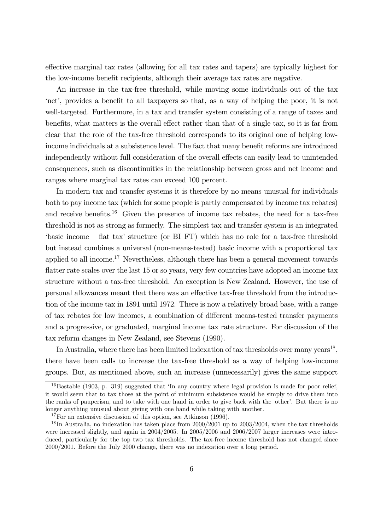effective marginal tax rates (allowing for all tax rates and tapers) are typically highest for the low-income benefit recipients, although their average tax rates are negative.

An increase in the tax-free threshold, while moving some individuals out of the tax 'net', provides a benefit to all taxpayers so that, as a way of helping the poor, it is not well-targeted. Furthermore, in a tax and transfer system consisting of a range of taxes and benefits, what matters is the overall effect rather than that of a single tax, so it is far from clear that the role of the tax-free threshold corresponds to its original one of helping lowincome individuals at a subsistence level. The fact that many benefit reforms are introduced independently without full consideration of the overall effects can easily lead to unintended consequences, such as discontinuities in the relationship between gross and net income and ranges where marginal tax rates can exceed 100 percent.

In modern tax and transfer systems it is therefore by no means unusual for individuals both to pay income tax (which for some people is partly compensated by income tax rebates) and receive benefits.<sup>16</sup> Given the presence of income tax rebates, the need for a tax-free threshold is not as strong as formerly. The simplest tax and transfer system is an integrated 'basic income — flat tax' structure (or BI—FT) which has no role for a tax-free threshold but instead combines a universal (non-means-tested) basic income with a proportional tax applied to all income.<sup>17</sup> Nevertheless, although there has been a general movement towards flatter rate scales over the last 15 or so years, very few countries have adopted an income tax structure without a tax-free threshold. An exception is New Zealand. However, the use of personal allowances meant that there was an effective tax-free threshold from the introduction of the income tax in 1891 until 1972. There is now a relatively broad base, with a range of tax rebates for low incomes, a combination of different means-tested transfer payments and a progressive, or graduated, marginal income tax rate structure. For discussion of the tax reform changes in New Zealand, see Stevens (1990).

In Australia, where there has been limited indexation of tax thresholds over many years<sup>18</sup>, there have been calls to increase the tax-free threshold as a way of helping low-income groups. But, as mentioned above, such an increase (unnecessarily) gives the same support

 $16$ Bastable (1903, p. 319) suggested that 'In any country where legal provision is made for poor relief, it would seem that to tax those at the point of minimum subsistence would be simply to drive them into the ranks of pauperism, and to take with one hand in order to give back with the other'. But there is no longer anything unusual about giving with one hand while taking with another.

<sup>&</sup>lt;sup>17</sup>For an extensive discussion of this option, see Atkinson (1996).

<sup>18</sup> In Australia, no indexation has taken place from 2000/2001 up to 2003/2004, when the tax thresholds were increased slightly, and again in 2004/2005. In 2005/2006 and 2006/2007 larger increases were introduced, particularly for the top two tax thresholds. The tax-free income threshold has not changed since 2000/2001. Before the July 2000 change, there was no indexation over a long period.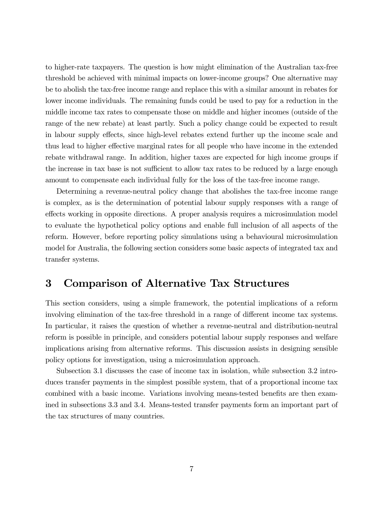to higher-rate taxpayers. The question is how might elimination of the Australian tax-free threshold be achieved with minimal impacts on lower-income groups? One alternative may be to abolish the tax-free income range and replace this with a similar amount in rebates for lower income individuals. The remaining funds could be used to pay for a reduction in the middle income tax rates to compensate those on middle and higher incomes (outside of the range of the new rebate) at least partly. Such a policy change could be expected to result in labour supply effects, since high-level rebates extend further up the income scale and thus lead to higher effective marginal rates for all people who have income in the extended rebate withdrawal range. In addition, higher taxes are expected for high income groups if the increase in tax base is not sufficient to allow tax rates to be reduced by a large enough amount to compensate each individual fully for the loss of the tax-free income range.

Determining a revenue-neutral policy change that abolishes the tax-free income range is complex, as is the determination of potential labour supply responses with a range of effects working in opposite directions. A proper analysis requires a microsimulation model to evaluate the hypothetical policy options and enable full inclusion of all aspects of the reform. However, before reporting policy simulations using a behavioural microsimulation model for Australia, the following section considers some basic aspects of integrated tax and transfer systems.

# 3 Comparison of Alternative Tax Structures

This section considers, using a simple framework, the potential implications of a reform involving elimination of the tax-free threshold in a range of different income tax systems. In particular, it raises the question of whether a revenue-neutral and distribution-neutral reform is possible in principle, and considers potential labour supply responses and welfare implications arising from alternative reforms. This discussion assists in designing sensible policy options for investigation, using a microsimulation approach.

Subsection 3.1 discusses the case of income tax in isolation, while subsection 3.2 introduces transfer payments in the simplest possible system, that of a proportional income tax combined with a basic income. Variations involving means-tested benefits are then examined in subsections 3.3 and 3.4. Means-tested transfer payments form an important part of the tax structures of many countries.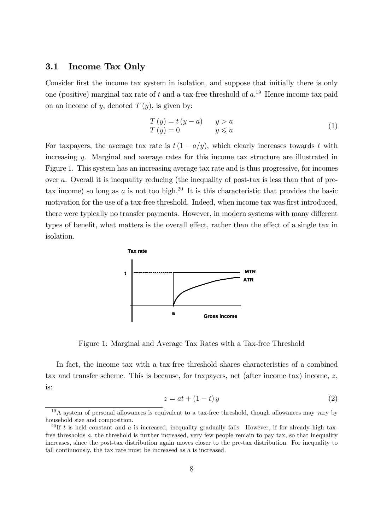### 3.1 Income Tax Only

Consider first the income tax system in isolation, and suppose that initially there is only one (positive) marginal tax rate of t and a tax-free threshold of  $a$ .<sup>19</sup> Hence income tax paid on an income of y, denoted  $T(y)$ , is given by:

$$
T(y) = t(y - a) \qquad y > a
$$
  
\n
$$
T(y) = 0 \qquad y \leq a
$$
\n(1)

For taxpayers, the average tax rate is  $t(1 - a/y)$ , which clearly increases towards t with increasing y. Marginal and average rates for this income tax structure are illustrated in Figure 1. This system has an increasing average tax rate and is thus progressive, for incomes over a. Overall it is inequality reducing (the inequality of post-tax is less than that of pretax income) so long as a is not too high.<sup>20</sup> It is this characteristic that provides the basic motivation for the use of a tax-free threshold. Indeed, when income tax was first introduced, there were typically no transfer payments. However, in modern systems with many different types of benefit, what matters is the overall effect, rather than the effect of a single tax in isolation.



Figure 1: Marginal and Average Tax Rates with a Tax-free Threshold

In fact, the income tax with a tax-free threshold shares characteristics of a combined tax and transfer scheme. This is because, for taxpayers, net (after income tax) income, z, is:

$$
z = at + (1 - t) y \tag{2}
$$

<sup>&</sup>lt;sup>19</sup>A system of personal allowances is equivalent to a tax-free threshold, though allowances may vary by household size and composition.

<sup>&</sup>lt;sup>20</sup> If t is held constant and a is increased, inequality gradually falls. However, if for already high taxfree thresholds a, the threshold is further increased, very few people remain to pay tax, so that inequality increases, since the post-tax distribution again moves closer to the pre-tax distribution. For inequality to fall continuously, the tax rate must be increased as a is increased.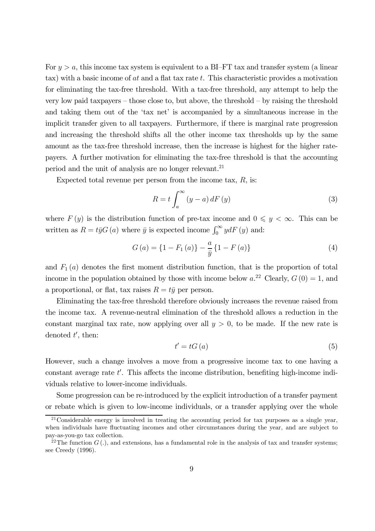For  $y > a$ , this income tax system is equivalent to a BI-FT tax and transfer system (a linear tax) with a basic income of  $at$  and a flat tax rate  $t$ . This characteristic provides a motivation for eliminating the tax-free threshold. With a tax-free threshold, any attempt to help the very low paid taxpayers — those close to, but above, the threshold — by raising the threshold and taking them out of the 'tax net' is accompanied by a simultaneous increase in the implicit transfer given to all taxpayers. Furthermore, if there is marginal rate progression and increasing the threshold shifts all the other income tax thresholds up by the same amount as the tax-free threshold increase, then the increase is highest for the higher ratepayers. A further motivation for eliminating the tax-free threshold is that the accounting period and the unit of analysis are no longer relevant.21

Expected total revenue per person from the income tax,  $R$ , is:

$$
R = t \int_{a}^{\infty} (y - a) dF(y)
$$
 (3)

where  $F(y)$  is the distribution function of pre-tax income and  $0 \leq y < \infty$ . This can be written as  $R = t\bar{y}G(a)$  where  $\bar{y}$  is expected income  $\int_0^\infty y dF(y)$  and:

$$
G(a) = \{1 - F_1(a)\} - \frac{a}{\bar{y}} \{1 - F(a)\}\
$$
 (4)

and  $F_1(a)$  denotes the first moment distribution function, that is the proportion of total income in the population obtained by those with income below  $a^{22}$  Clearly,  $G(0) = 1$ , and a proportional, or flat, tax raises  $R = t\bar{y}$  per person.

Eliminating the tax-free threshold therefore obviously increases the revenue raised from the income tax. A revenue-neutral elimination of the threshold allows a reduction in the constant marginal tax rate, now applying over all  $y > 0$ , to be made. If the new rate is denoted  $t'$ , then:

$$
t' = tG(a) \tag{5}
$$

However, such a change involves a move from a progressive income tax to one having a constant average rate  $t'$ . This affects the income distribution, benefiting high-income individuals relative to lower-income individuals.

Some progression can be re-introduced by the explicit introduction of a transfer payment or rebate which is given to low-income individuals, or a transfer applying over the whole

 $21$ Considerable energy is involved in treating the accounting period for tax purposes as a single year, when individuals have fluctuating incomes and other circumstances during the year, and are subject to pay-as-you-go tax collection.

<sup>&</sup>lt;sup>22</sup>The function  $G(.)$ , and extensions, has a fundamental role in the analysis of tax and transfer systems; see Creedy (1996).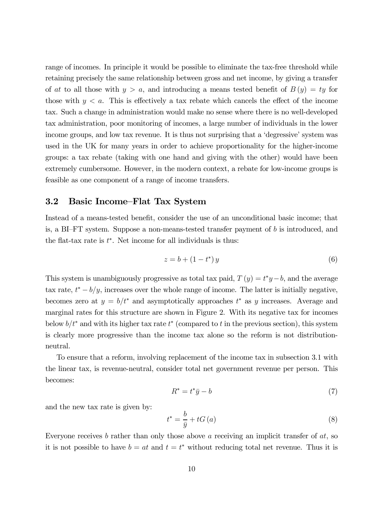range of incomes. In principle it would be possible to eliminate the tax-free threshold while retaining precisely the same relationship between gross and net income, by giving a transfer of at to all those with  $y > a$ , and introducing a means tested benefit of  $B(y) = ty$  for those with  $y < a$ . This is effectively a tax rebate which cancels the effect of the income tax. Such a change in administration would make no sense where there is no well-developed tax administration, poor monitoring of incomes, a large number of individuals in the lower income groups, and low tax revenue. It is thus not surprising that a 'degressive' system was used in the UK for many years in order to achieve proportionality for the higher-income groups: a tax rebate (taking with one hand and giving with the other) would have been extremely cumbersome. However, in the modern context, a rebate for low-income groups is feasible as one component of a range of income transfers.

### 3.2 Basic Income—Flat Tax System

Instead of a means-tested benefit, consider the use of an unconditional basic income; that is, a BI–FT system. Suppose a non-means-tested transfer payment of  $b$  is introduced, and the flat-tax rate is  $t^*$ . Net income for all individuals is thus:

$$
z = b + (1 - t^*)y \tag{6}
$$

This system is unambiguously progressive as total tax paid,  $T(y) = t^*y - b$ , and the average tax rate,  $t^* - b/y$ , increases over the whole range of income. The latter is initially negative, becomes zero at  $y = b/t^*$  and asymptotically approaches  $t^*$  as y increases. Average and marginal rates for this structure are shown in Figure 2. With its negative tax for incomes below  $b/t^*$  and with its higher tax rate  $t^*$  (compared to t in the previous section), this system is clearly more progressive than the income tax alone so the reform is not distributionneutral.

To ensure that a reform, involving replacement of the income tax in subsection 3.1 with the linear tax, is revenue-neutral, consider total net government revenue per person. This becomes:

$$
R^* = t^*\bar{y} - b \tag{7}
$$

and the new tax rate is given by:

$$
t^* = \frac{b}{\bar{y}} + tG(a) \tag{8}
$$

Everyone receives  $b$  rather than only those above  $a$  receiving an implicit transfer of  $at$ , so it is not possible to have  $b = at$  and  $t = t^*$  without reducing total net revenue. Thus it is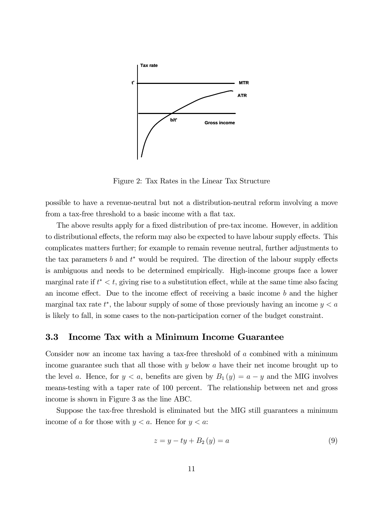

Figure 2: Tax Rates in the Linear Tax Structure

possible to have a revenue-neutral but not a distribution-neutral reform involving a move from a tax-free threshold to a basic income with a flat tax.

The above results apply for a fixed distribution of pre-tax income. However, in addition to distributional effects, the reform may also be expected to have labour supply effects. This complicates matters further; for example to remain revenue neutral, further adjustments to the tax parameters  $b$  and  $t^*$  would be required. The direction of the labour supply effects is ambiguous and needs to be determined empirically. High-income groups face a lower marginal rate if  $t^* < t$ , giving rise to a substitution effect, while at the same time also facing an income effect. Due to the income effect of receiving a basic income  $b$  and the higher marginal tax rate  $t^*$ , the labour supply of some of those previously having an income  $y < a$ is likely to fall, in some cases to the non-participation corner of the budget constraint.

### 3.3 Income Tax with a Minimum Income Guarantee

Consider now an income tax having a tax-free threshold of a combined with a minimum income guarantee such that all those with y below a have their net income brought up to the level a. Hence, for  $y < a$ , benefits are given by  $B_1(y) = a - y$  and the MIG involves means-testing with a taper rate of 100 percent. The relationship between net and gross income is shown in Figure 3 as the line ABC.

Suppose the tax-free threshold is eliminated but the MIG still guarantees a minimum income of a for those with  $y < a$ . Hence for  $y < a$ :

$$
z = y - ty + B_2(y) = a \tag{9}
$$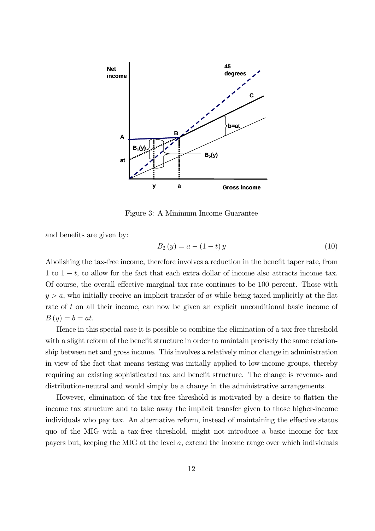

Figure 3: A Minimum Income Guarantee

and benefits are given by:

$$
B_2(y) = a - (1 - t)y
$$
 (10)

Abolishing the tax-free income, therefore involves a reduction in the benefit taper rate, from 1 to  $1 - t$ , to allow for the fact that each extra dollar of income also attracts income tax. Of course, the overall effective marginal tax rate continues to be 100 percent. Those with  $y > a$ , who initially receive an implicit transfer of at while being taxed implicitly at the flat rate of t on all their income, can now be given an explicit unconditional basic income of  $B(y) = b = at.$ 

Hence in this special case it is possible to combine the elimination of a tax-free threshold with a slight reform of the benefit structure in order to maintain precisely the same relationship between net and gross income. This involves a relatively minor change in administration in view of the fact that means testing was initially applied to low-income groups, thereby requiring an existing sophisticated tax and benefit structure. The change is revenue- and distribution-neutral and would simply be a change in the administrative arrangements.

However, elimination of the tax-free threshold is motivated by a desire to flatten the income tax structure and to take away the implicit transfer given to those higher-income individuals who pay tax. An alternative reform, instead of maintaining the effective status quo of the MIG with a tax-free threshold, might not introduce a basic income for tax payers but, keeping the MIG at the level a, extend the income range over which individuals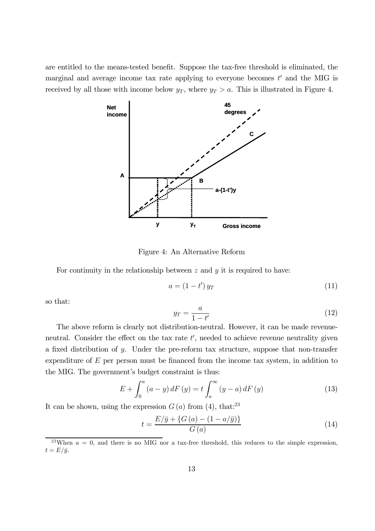are entitled to the means-tested benefit. Suppose the tax-free threshold is eliminated, the marginal and average income tax rate applying to everyone becomes  $t'$  and the MIG is received by all those with income below  $y_T$ , where  $y_T > a$ . This is illustrated in Figure 4.



Figure 4: An Alternative Reform

For continuity in the relationship between  $z$  and  $y$  it is required to have:

$$
a = (1 - t') y_T \tag{11}
$$

so that:

$$
y_T = \frac{a}{1 - t'}
$$
(12)

The above reform is clearly not distribution-neutral. However, it can be made revenueneutral. Consider the effect on the tax rate  $t'$ , needed to achieve revenue neutrality given a fixed distribution of y. Under the pre-reform tax structure, suppose that non-transfer expenditure of  $E$  per person must be financed from the income tax system, in addition to the MIG. The government's budget constraint is thus:

$$
E + \int_0^a (a - y) dF(y) = t \int_a^\infty (y - a) dF(y)
$$
 (13)

It can be shown, using the expression  $G(a)$  from (4), that:<sup>23</sup>

$$
t = \frac{E/\bar{y} + \{G(a) - (1 - a/\bar{y})\}}{G(a)}\tag{14}
$$

<sup>&</sup>lt;sup>23</sup>When  $a = 0$ , and there is no MIG nor a tax-free threshold, this reduces to the simple expression,  $t = E/\bar{y}$ .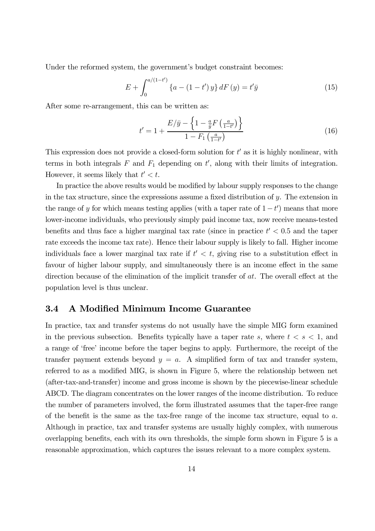Under the reformed system, the government's budget constraint becomes:

$$
E + \int_0^{a/(1-t')} \{a - (1-t')y\} dF(y) = t'\bar{y}
$$
 (15)

After some re-arrangement, this can be written as:

$$
t' = 1 + \frac{E/\bar{y} - \left\{1 - \frac{a}{\bar{y}}F\left(\frac{a}{1 - t'}\right)\right\}}{1 - F_1\left(\frac{a}{1 - t'}\right)}
$$
(16)

This expression does not provide a closed-form solution for  $t'$  as it is highly nonlinear, with terms in both integrals  $F$  and  $F_1$  depending on  $t'$ , along with their limits of integration. However, it seems likely that  $t' < t$ .

In practice the above results would be modified by labour supply responses to the change in the tax structure, since the expressions assume a fixed distribution of y. The extension in the range of y for which means testing applies (with a taper rate of  $1-t'$ ) means that more lower-income individuals, who previously simply paid income tax, now receive means-tested benefits and thus face a higher marginal tax rate (since in practice  $t' < 0.5$  and the taper rate exceeds the income tax rate). Hence their labour supply is likely to fall. Higher income individuals face a lower marginal tax rate if  $t' < t$ , giving rise to a substitution effect in favour of higher labour supply, and simultaneously there is an income effect in the same direction because of the elimination of the implicit transfer of at. The overall effect at the population level is thus unclear.

### 3.4 A Modified Minimum Income Guarantee

In practice, tax and transfer systems do not usually have the simple MIG form examined in the previous subsection. Benefits typically have a taper rate s, where  $t < s < 1$ , and a range of 'free' income before the taper begins to apply. Furthermore, the receipt of the transfer payment extends beyond  $y = a$ . A simplified form of tax and transfer system, referred to as a modified MIG, is shown in Figure 5, where the relationship between net (after-tax-and-transfer) income and gross income is shown by the piecewise-linear schedule ABCD. The diagram concentrates on the lower ranges of the income distribution. To reduce the number of parameters involved, the form illustrated assumes that the taper-free range of the benefit is the same as the tax-free range of the income tax structure, equal to  $a$ . Although in practice, tax and transfer systems are usually highly complex, with numerous overlapping benefits, each with its own thresholds, the simple form shown in Figure 5 is a reasonable approximation, which captures the issues relevant to a more complex system.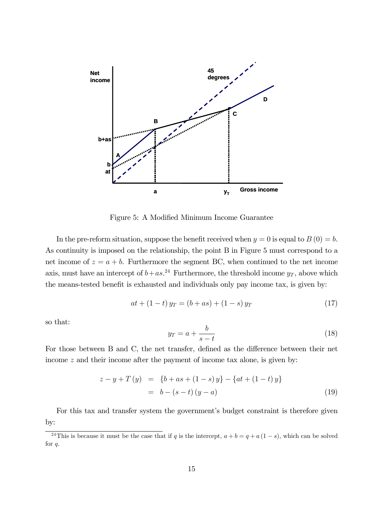

Figure 5: A Modified Minimum Income Guarantee

In the pre-reform situation, suppose the benefit received when  $y = 0$  is equal to  $B(0) = b$ . As continuity is imposed on the relationship, the point B in Figure 5 must correspond to a net income of  $z = a + b$ . Furthermore the segment BC, when continued to the net income axis, must have an intercept of  $b+as.^{24}$  Furthermore, the threshold income  $y_T$ , above which the means-tested benefit is exhausted and individuals only pay income tax, is given by:

$$
at + (1 - t) y_T = (b + as) + (1 - s) y_T \tag{17}
$$

so that:

$$
y_T = a + \frac{b}{s - t} \tag{18}
$$

For those between B and C, the net transfer, defined as the difference between their net income z and their income after the payment of income tax alone, is given by:

$$
z - y + T(y) = \{b + as + (1 - s)y\} - \{at + (1 - t)y\}
$$
  
= b - (s - t) (y - a) (19)

For this tax and transfer system the government's budget constraint is therefore given by:

<sup>&</sup>lt;sup>24</sup>This is because it must be the case that if q is the intercept,  $a + b = q + a(1 - s)$ , which can be solved for q.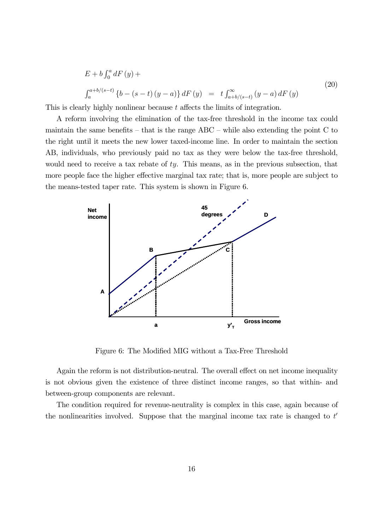$$
E + b \int_0^a dF(y) +
$$
  

$$
\int_a^{a+b/(s-t)} \{b - (s-t) (y-a)\} dF(y) = t \int_{a+b/(s-t)}^{\infty} (y-a) dF(y)
$$
 (20)

This is clearly highly nonlinear because t affects the limits of integration.

A reform involving the elimination of the tax-free threshold in the income tax could maintain the same benefits – that is the range  $ABC$  – while also extending the point  $C$  to the right until it meets the new lower taxed-income line. In order to maintain the section AB, individuals, who previously paid no tax as they were below the tax-free threshold, would need to receive a tax rebate of  $ty$ . This means, as in the previous subsection, that more people face the higher effective marginal tax rate; that is, more people are subject to the means-tested taper rate. This system is shown in Figure 6.



Figure 6: The Modified MIG without a Tax-Free Threshold

Again the reform is not distribution-neutral. The overall effect on net income inequality is not obvious given the existence of three distinct income ranges, so that within- and between-group components are relevant.

The condition required for revenue-neutrality is complex in this case, again because of the nonlinearities involved. Suppose that the marginal income tax rate is changed to  $t'$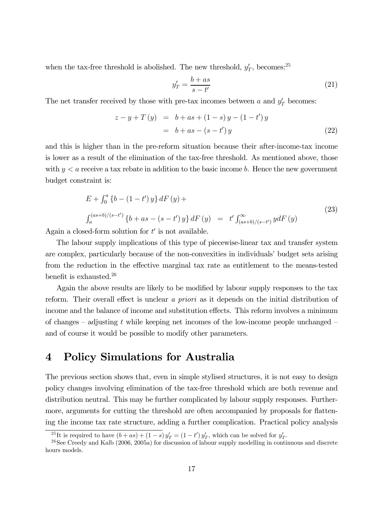when the tax-free threshold is abolished. The new threshold,  $y'_T$ , becomes:<sup>25</sup>

$$
y_T' = \frac{b + as}{s - t'}\tag{21}
$$

The net transfer received by those with pre-tax incomes between a and  $y_T$  becomes:

$$
z - y + T(y) = b + as + (1 - s)y - (1 - t')y
$$
  
= b + as - (s - t')y (22)

and this is higher than in the pre-reform situation because their after-income-tax income is lower as a result of the elimination of the tax-free threshold. As mentioned above, those with  $y < a$  receive a tax rebate in addition to the basic income b. Hence the new government budget constraint is:

$$
E + \int_0^a \{b - (1 - t')y\} dF(y) +
$$
  

$$
\int_a^{(as+b)/(s-t')} \{b + as - (s - t')y\} dF(y) = t' \int_{(as+b)/(s-t')}^{\infty} y dF(y)
$$
 (23)

Again a closed-form solution for  $t'$  is not available.

The labour supply implications of this type of piecewise-linear tax and transfer system are complex, particularly because of the non-convexities in individuals' budget sets arising from the reduction in the effective marginal tax rate as entitlement to the means-tested benefit is exhausted.26

Again the above results are likely to be modified by labour supply responses to the tax reform. Their overall effect is unclear a priori as it depends on the initial distribution of income and the balance of income and substitution effects. This reform involves a minimum of changes – adjusting t while keeping net incomes of the low-income people unchanged – and of course it would be possible to modify other parameters.

# 4 Policy Simulations for Australia

The previous section shows that, even in simple stylised structures, it is not easy to design policy changes involving elimination of the tax-free threshold which are both revenue and distribution neutral. This may be further complicated by labour supply responses. Furthermore, arguments for cutting the threshold are often accompanied by proposals for flattening the income tax rate structure, adding a further complication. Practical policy analysis

<sup>&</sup>lt;sup>25</sup>It is required to have  $(b + as) + (1 - s) y'_T = (1 - t') y'_T$ , which can be solved for y'

 $26$ See Creedy and Kalb (2006, 2005a) for discussion of labour supply modelling in continuous and discrete hours models.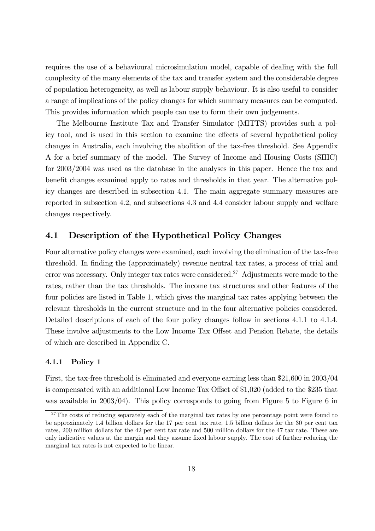requires the use of a behavioural microsimulation model, capable of dealing with the full complexity of the many elements of the tax and transfer system and the considerable degree of population heterogeneity, as well as labour supply behaviour. It is also useful to consider a range of implications of the policy changes for which summary measures can be computed. This provides information which people can use to form their own judgements.

The Melbourne Institute Tax and Transfer Simulator (MITTS) provides such a policy tool, and is used in this section to examine the effects of several hypothetical policy changes in Australia, each involving the abolition of the tax-free threshold. See Appendix A for a brief summary of the model. The Survey of Income and Housing Costs (SIHC) for 2003/2004 was used as the database in the analyses in this paper. Hence the tax and benefit changes examined apply to rates and thresholds in that year. The alternative policy changes are described in subsection 4.1. The main aggregate summary measures are reported in subsection 4.2, and subsections 4.3 and 4.4 consider labour supply and welfare changes respectively.

### 4.1 Description of the Hypothetical Policy Changes

Four alternative policy changes were examined, each involving the elimination of the tax-free threshold. In finding the (approximately) revenue neutral tax rates, a process of trial and error was necessary. Only integer tax rates were considered.27 Adjustments were made to the rates, rather than the tax thresholds. The income tax structures and other features of the four policies are listed in Table 1, which gives the marginal tax rates applying between the relevant thresholds in the current structure and in the four alternative policies considered. Detailed descriptions of each of the four policy changes follow in sections 4.1.1 to 4.1.4. These involve adjustments to the Low Income Tax Offset and Pension Rebate, the details of which are described in Appendix C.

#### 4.1.1 Policy 1

First, the tax-free threshold is eliminated and everyone earning less than \$21,600 in 2003/04 is compensated with an additional Low Income Tax Offset of \$1,020 (added to the \$235 that was available in 2003/04). This policy corresponds to going from Figure 5 to Figure 6 in

 $27$ The costs of reducing separately each of the marginal tax rates by one percentage point were found to be approximately 1.4 billion dollars for the 17 per cent tax rate, 1.5 billion dollars for the 30 per cent tax rates, 200 million dollars for the 42 per cent tax rate and 500 million dollars for the 47 tax rate. These are only indicative values at the margin and they assume fixed labour supply. The cost of further reducing the marginal tax rates is not expected to be linear.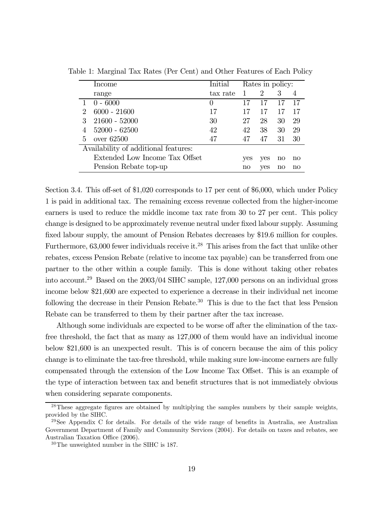|                             | Income                               | Initial  | Rates in policy: |                |                        |    |
|-----------------------------|--------------------------------------|----------|------------------|----------------|------------------------|----|
|                             | range                                | tax rate | 1                | $\overline{2}$ | 3                      |    |
|                             | $0 - 6000$                           | $\theta$ | 17               | 17             |                        | 17 |
| $\mathcal{D}_{\mathcal{L}}$ | $6000 - 21600$                       | 17       | 17               | 17             | 17                     | 17 |
|                             | $21600 - 52000$                      | 30       | 27               | 28             | 30                     | 29 |
|                             | $52000 - 62500$                      | 42       | 42               | 38             | 30                     | 29 |
| 5                           | over $62500$                         | 47       | 47               | 47             | 31                     | 30 |
|                             | Availability of additional features: |          |                  |                |                        |    |
|                             | Extended Low Income Tax Offset       |          | <b>ves</b>       | yes            | $\mathop{\mathrm{no}}$ | no |
|                             | Pension Rebate top-up                |          | $\mathbf{no}$    | yes            | no                     | no |

Table 1: Marginal Tax Rates (Per Cent) and Other Features of Each Policy

Section 3.4. This off-set of \$1,020 corresponds to 17 per cent of \$6,000, which under Policy 1 is paid in additional tax. The remaining excess revenue collected from the higher-income earners is used to reduce the middle income tax rate from 30 to 27 per cent. This policy change is designed to be approximately revenue neutral under fixed labour supply. Assuming fixed labour supply, the amount of Pension Rebates decreases by \$19.6 million for couples. Furthermore, 63,000 fewer individuals receive it.<sup>28</sup> This arises from the fact that unlike other rebates, excess Pension Rebate (relative to income tax payable) can be transferred from one partner to the other within a couple family. This is done without taking other rebates into account.29 Based on the 2003/04 SIHC sample, 127,000 persons on an individual gross income below \$21,600 are expected to experience a decrease in their individual net income following the decrease in their Pension Rebate.<sup>30</sup> This is due to the fact that less Pension Rebate can be transferred to them by their partner after the tax increase.

Although some individuals are expected to be worse off after the elimination of the taxfree threshold, the fact that as many as 127,000 of them would have an individual income below \$21,600 is an unexpected result. This is of concern because the aim of this policy change is to eliminate the tax-free threshold, while making sure low-income earners are fully compensated through the extension of the Low Income Tax Offset. This is an example of the type of interaction between tax and benefit structures that is not immediately obvious when considering separate components.

<sup>&</sup>lt;sup>28</sup>These aggregate figures are obtained by multiplying the samples numbers by their sample weights, provided by the SIHC.

<sup>&</sup>lt;sup>29</sup>See Appendix C for details. For details of the wide range of benefits in Australia, see Australian Government Department of Family and Community Services (2004). For details on taxes and rebates, see Australian Taxation Office (2006).

<sup>30</sup>The unweighted number in the SIHC is 187.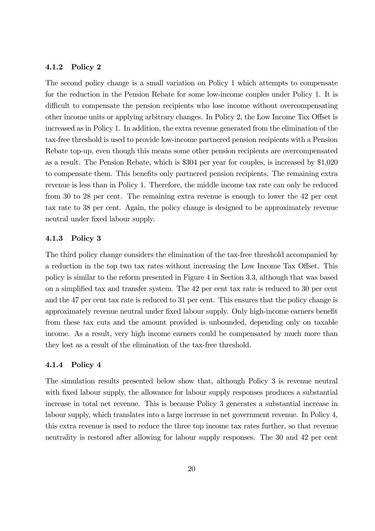#### 4.1.2 Policy 2

The second policy change is a small variation on Policy 1 which attempts to compensate for the reduction in the Pension Rebate for some low-income couples under Policy 1. It is difficult to compensate the pension recipients who lose income without overcompensating other income units or applying arbitrary changes. In Policy 2, the Low Income Tax Offset is increased as in Policy 1. In addition, the extra revenue generated from the elimination of the tax-free threshold is used to provide low-income partnered pension recipients with a Pension Rebate top-up, even though this means some other pension recipients are overcompensated as a result. The Pension Rebate, which is \$304 per year for couples, is increased by \$1,020 to compensate them. This benefits only partnered pension recipients. The remaining extra revenue is less than in Policy 1. Therefore, the middle income tax rate can only be reduced from 30 to 28 per cent. The remaining extra revenue is enough to lower the 42 per cent tax rate to 38 per cent. Again, the policy change is designed to be approximately revenue neutral under fixed labour supply.

#### 4.1.3 Policy 3

The third policy change considers the elimination of the tax-free threshold accompanied by a reduction in the top two tax rates without increasing the Low Income Tax Offset. This policy is similar to the reform presented in Figure 4 in Section 3.3, although that was based on a simplified tax and transfer system. The 42 per cent tax rate is reduced to 30 per cent and the 47 per cent tax rate is reduced to 31 per cent. This ensures that the policy change is approximately revenue neutral under fixed labour supply. Only high-income earners benefit from these tax cuts and the amount provided is unbounded, depending only on taxable income. As a result, very high income earners could be compensated by much more than they lost as a result of the elimination of the tax-free threshold.

#### 4.1.4 Policy 4

The simulation results presented below show that, although Policy 3 is revenue neutral with fixed labour supply, the allowance for labour supply responses produces a substantial increase in total net revenue. This is because Policy 3 generates a substantial increase in labour supply, which translates into a large increase in net government revenue. In Policy 4, this extra revenue is used to reduce the three top income tax rates further, so that revenue neutrality is restored after allowing for labour supply responses. The 30 and 42 per cent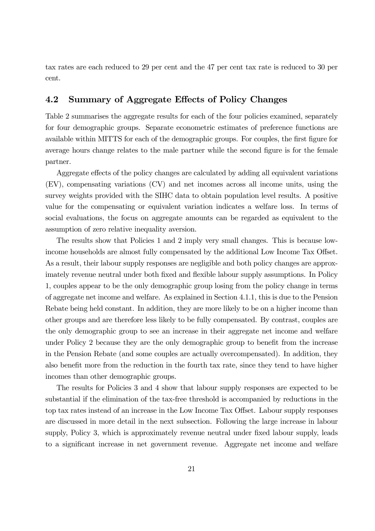tax rates are each reduced to 29 per cent and the 47 per cent tax rate is reduced to 30 per cent.

### 4.2 Summary of Aggregate Effects of Policy Changes

Table 2 summarises the aggregate results for each of the four policies examined, separately for four demographic groups. Separate econometric estimates of preference functions are available within MITTS for each of the demographic groups. For couples, the first figure for average hours change relates to the male partner while the second figure is for the female partner.

Aggregate effects of the policy changes are calculated by adding all equivalent variations (EV), compensating variations (CV) and net incomes across all income units, using the survey weights provided with the SIHC data to obtain population level results. A positive value for the compensating or equivalent variation indicates a welfare loss. In terms of social evaluations, the focus on aggregate amounts can be regarded as equivalent to the assumption of zero relative inequality aversion.

The results show that Policies 1 and 2 imply very small changes. This is because lowincome households are almost fully compensated by the additional Low Income Tax Offset. As a result, their labour supply responses are negligible and both policy changes are approximately revenue neutral under both fixed and flexible labour supply assumptions. In Policy 1, couples appear to be the only demographic group losing from the policy change in terms of aggregate net income and welfare. As explained in Section 4.1.1, this is due to the Pension Rebate being held constant. In addition, they are more likely to be on a higher income than other groups and are therefore less likely to be fully compensated. By contrast, couples are the only demographic group to see an increase in their aggregate net income and welfare under Policy 2 because they are the only demographic group to benefit from the increase in the Pension Rebate (and some couples are actually overcompensated). In addition, they also benefit more from the reduction in the fourth tax rate, since they tend to have higher incomes than other demographic groups.

The results for Policies 3 and 4 show that labour supply responses are expected to be substantial if the elimination of the tax-free threshold is accompanied by reductions in the top tax rates instead of an increase in the Low Income Tax Offset. Labour supply responses are discussed in more detail in the next subsection. Following the large increase in labour supply, Policy 3, which is approximately revenue neutral under fixed labour supply, leads to a significant increase in net government revenue. Aggregate net income and welfare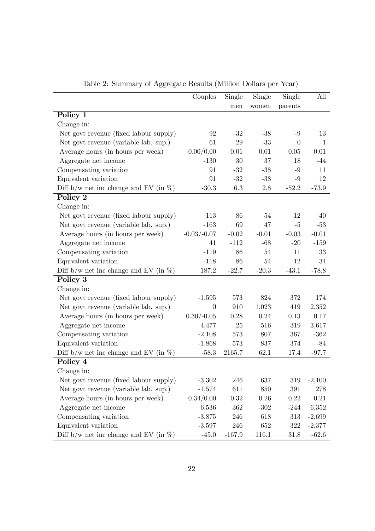|                                           | Couples        | Single   | Single    | Single           | All      |
|-------------------------------------------|----------------|----------|-----------|------------------|----------|
|                                           |                | men      | women     | parents          |          |
| Policy 1                                  |                |          |           |                  |          |
| Change in:                                |                |          |           |                  |          |
| Net govt revenue (fixed labour supply)    | 92             | $-32$    | $-38$     | $-9$             | 13       |
| Net govt revenue (variable lab. sup.)     | 61             | $-29$    | $-33$     | $\boldsymbol{0}$ | $-1$     |
| Average hours (in hours per week)         | 0.00/0.00      | 0.01     | 0.01      | 0.05             | 0.01     |
| Aggregate net income                      | $-130$         | $30\,$   | $37\,$    | 18               | $-44$    |
| Compensating variation                    | 91             | $-32$    | $-38$     | $-9$             | 11       |
| Equivalent variation                      | 91             | $-32$    | $-38$     | $-9$             | 12       |
| Diff b/w net inc change and EV (in $\%$ ) | $-30.3$        | $6.3\,$  | 2.8       | $-52.2$          | $-73.9$  |
| Policy 2                                  |                |          |           |                  |          |
| Change in:                                |                |          |           |                  |          |
| Net govt revenue (fixed labour supply)    | $-113$         | 86       | 54        | 12               | 40       |
| Net govt revenue (variable lab. sup.)     | $-163$         | 69       | 47        | $-5$             | $-53$    |
| Average hours (in hours per week)         | $-0.03/-0.07$  | $-0.02$  | $-0.01$   | $-0.03$          | $-0.01$  |
| Aggregate net income                      | 41             | $-112$   | $-68$     | $-20$            | $-159$   |
| Compensating variation                    | $-119$         | 86       | 54        | 11               | 33       |
| Equivalent variation                      | $-118$         | 86       | 54        | 12               | 34       |
| Diff b/w net inc change and EV (in $\%$ ) | 187.2          | $-22.7$  | $-20.3$   | $-43.1$          | $-78.8$  |
| Policy 3                                  |                |          |           |                  |          |
| Change in:                                |                |          |           |                  |          |
| Net govt revenue (fixed labour supply)    | $-1,595$       | 573      | 824       | 372              | 174      |
| Net govt revenue (variable lab. sup.)     | $\overline{0}$ | 910      | 1,023     | 419              | 2,352    |
| Average hours (in hours per week)         | $0.30/-0.05$   | 0.28     | 0.24      | 0.13             | 0.17     |
| Aggregate net income                      | 4,477          | $-25$    | $-516$    | $-319$           | 3,617    |
| Compensating variation                    | $-2,108$       | 573      | 807       | 367              | $-362$   |
| Equivalent variation                      | $-1,868$       | 573      | 837       | 374              | $-84$    |
| Diff b/w net inc change and EV (in $\%$ ) | $-58.3$        | 2165.7   | 62.1      | 17.4             | $-97.7$  |
| Policy 4                                  |                |          |           |                  |          |
| Change in:                                |                |          |           |                  |          |
| Net govt revenue (fixed labour supply)    | $-3,302$       | 246      | 637       | 319              | $-2,100$ |
| Net govt revenue (variable lab. sup.)     | $-1,574$       | 611      | 850       | 391              | 278      |
| Average hours (in hours per week)         | 0.34/0.00      | 0.32     | 0.26      | 0.22             | 0.21     |
| Aggregate net income                      | 6,536          | 362      | $-302$    | $-244$           | 6,352    |
| Compensating variation                    | $-3,875$       | 246      | 618       | 313              | $-2,699$ |
| Equivalent variation                      | $-3,597$       | 246      | 652       | 322              | $-2,377$ |
| Diff b/w net inc change and EV (in $\%$ ) | $-45.0$        | $-167.9$ | $116.1\,$ | 31.8             | $-62.6$  |

Table 2: Summary of Aggregate Results (Million Dollars per Year)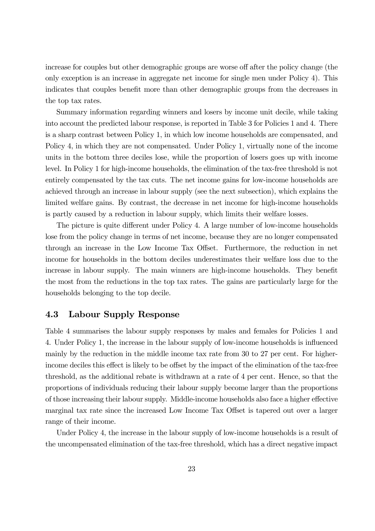increase for couples but other demographic groups are worse off after the policy change (the only exception is an increase in aggregate net income for single men under Policy 4). This indicates that couples benefit more than other demographic groups from the decreases in the top tax rates.

Summary information regarding winners and losers by income unit decile, while taking into account the predicted labour response, is reported in Table 3 for Policies 1 and 4. There is a sharp contrast between Policy 1, in which low income households are compensated, and Policy 4, in which they are not compensated. Under Policy 1, virtually none of the income units in the bottom three deciles lose, while the proportion of losers goes up with income level. In Policy 1 for high-income households, the elimination of the tax-free threshold is not entirely compensated by the tax cuts. The net income gains for low-income households are achieved through an increase in labour supply (see the next subsection), which explains the limited welfare gains. By contrast, the decrease in net income for high-income households is partly caused by a reduction in labour supply, which limits their welfare losses.

The picture is quite different under Policy 4. A large number of low-income households lose from the policy change in terms of net income, because they are no longer compensated through an increase in the Low Income Tax Offset. Furthermore, the reduction in net income for households in the bottom deciles underestimates their welfare loss due to the increase in labour supply. The main winners are high-income households. They benefit the most from the reductions in the top tax rates. The gains are particularly large for the households belonging to the top decile.

### 4.3 Labour Supply Response

Table 4 summarises the labour supply responses by males and females for Policies 1 and 4. Under Policy 1, the increase in the labour supply of low-income households is influenced mainly by the reduction in the middle income tax rate from 30 to 27 per cent. For higherincome deciles this effect is likely to be offset by the impact of the elimination of the tax-free threshold, as the additional rebate is withdrawn at a rate of 4 per cent. Hence, so that the proportions of individuals reducing their labour supply become larger than the proportions of those increasing their labour supply. Middle-income households also face a higher effective marginal tax rate since the increased Low Income Tax Offset is tapered out over a larger range of their income.

Under Policy 4, the increase in the labour supply of low-income households is a result of the uncompensated elimination of the tax-free threshold, which has a direct negative impact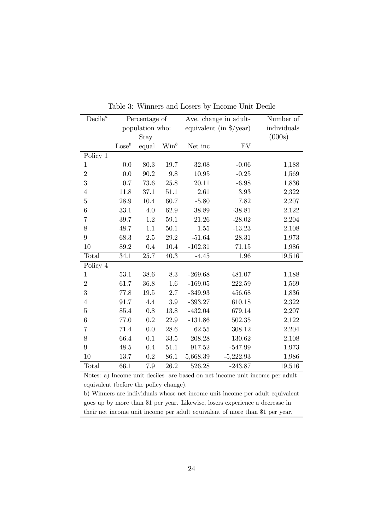| $Decile^a$     | Percentage of   |       |                |           | Ave. change in adult-               | Number of   |  |
|----------------|-----------------|-------|----------------|-----------|-------------------------------------|-------------|--|
|                | population who: |       |                |           | equivalent (in $\frac{1}{2}$ /year) | individuals |  |
|                |                 | Stay  |                |           |                                     | (000s)      |  |
|                | $\text{Lose}^b$ | equal | $\text{Win}^b$ | Net inc   | EV                                  |             |  |
| Policy 1       |                 |       |                |           |                                     |             |  |
| $\mathbf{1}$   | 0.0             | 80.3  | 19.7           | 32.08     | $-0.06$                             | 1,188       |  |
| $\overline{2}$ | 0.0             | 90.2  | 9.8            | 10.95     | $-0.25$                             | 1,569       |  |
| 3              | 0.7             | 73.6  | 25.8           | 20.11     | $-6.98$                             | 1,836       |  |
| $\overline{4}$ | 11.8            | 37.1  | 51.1           | 2.61      | 3.93                                | 2,322       |  |
| $\overline{5}$ | 28.9            | 10.4  | 60.7           | $-5.80$   | 7.82                                | 2,207       |  |
| 6              | 33.1            | 4.0   | 62.9           | 38.89     | $-38.81$                            | 2,122       |  |
| $\overline{7}$ | 39.7            | 1.2   | 59.1           | 21.26     | $-28.02$                            | 2,204       |  |
| 8              | 48.7            | 1.1   | 50.1           | 1.55      | $-13.23$                            | 2,108       |  |
| 9              | 68.3            | 2.5   | 29.2           | $-51.64$  | 28.31                               | 1,973       |  |
| 10             | 89.2            | 0.4   | 10.4           | $-102.31$ | 71.15                               | 1,986       |  |
| Total          | 34.1            | 25.7  | 40.3           | $-4.45$   | 1.96                                | 19,516      |  |
| Policy 4       |                 |       |                |           |                                     |             |  |
| $\mathbf{1}$   | 53.1            | 38.6  | 8.3            | $-269.68$ | 481.07                              | 1,188       |  |
| $\overline{2}$ | 61.7            | 36.8  | 1.6            | $-169.05$ | 222.59                              | 1,569       |  |
| 3              | 77.8            | 19.5  | 2.7            | $-349.93$ | 456.68                              | 1,836       |  |
| $\overline{4}$ | 91.7            | 4.4   | $3.9\,$        | $-393.27$ | 610.18                              | 2,322       |  |
| $\overline{5}$ | 85.4            | 0.8   | 13.8           | $-432.04$ | 679.14                              | 2,207       |  |
| 6              | 77.0            | 0.2   | 22.9           | $-131.86$ | 502.35                              | 2,122       |  |
| $\overline{7}$ | 71.4            | 0.0   | 28.6           | 62.55     | 308.12                              | 2,204       |  |
| 8              | 66.4            | 0.1   | 33.5           | 208.28    | 130.62                              | 2,108       |  |
| 9              | 48.5            | 0.4   | 51.1           | 917.52    | $-547.99$                           | 1,973       |  |
| 10             | 13.7            | 0.2   | 86.1           | 5,668.39  | $-5,222.93$                         | 1,986       |  |
| Total          | 66.1            | 7.9   | 26.2           | 526.28    | $-243.87$                           | 19,516      |  |

Table 3: Winners and Losers by Income Unit Decile

Notes: a) Income unit deciles are based on net income unit income per adult equivalent (before the policy change).

b) Winners are individuals whose net income unit income per adult equivalent goes up by more than \$1 per year. Likewise, losers experience a decrease in their net income unit income per adult equivalent of more than \$1 per year.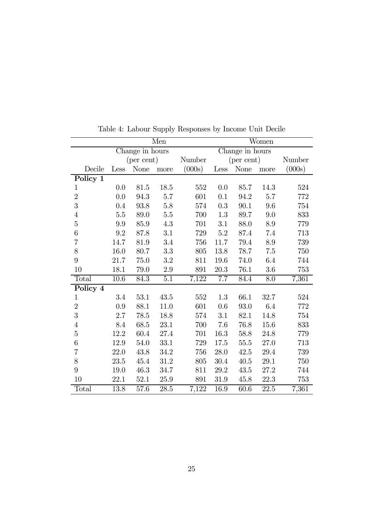|                | Men        |                 |           |        |                 |               | Women   |        |  |  |  |
|----------------|------------|-----------------|-----------|--------|-----------------|---------------|---------|--------|--|--|--|
|                |            | Change in hours |           |        | Change in hours |               |         |        |  |  |  |
|                | (per cent) |                 |           | Number | (per cent)      |               |         | Number |  |  |  |
| Decile         | Less       | $\mbox{None}$   | more      | (000s) | Less            | $\mbox{None}$ | more    | (000s) |  |  |  |
| Policy 1       |            |                 |           |        |                 |               |         |        |  |  |  |
| $\mathbf{1}$   | 0.0        | 81.5            | 18.5      | 552    | 0.0             | 85.7          | 14.3    | 524    |  |  |  |
| $\overline{2}$ | 0.0        | 94.3            | 5.7       | 601    | 0.1             | 94.2          | $5.7\,$ | 772    |  |  |  |
| 3              | 0.4        | 93.8            | 5.8       | 574    | 0.3             | 90.1          | 9.6     | 754    |  |  |  |
| $\overline{4}$ | 5.5        | 89.0            | $5.5\,$   | 700    | 1.3             | 89.7          | 9.0     | 833    |  |  |  |
| $\overline{5}$ | 9.9        | 85.9            | 4.3       | 701    | 3.1             | 88.0          | 8.9     | 779    |  |  |  |
| 6              | 9.2        | 87.8            | 3.1       | 729    | $5.2\,$         | 87.4          | 7.4     | 713    |  |  |  |
| 7              | 14.7       | 81.9            | 3.4       | 756    | 11.7            | 79.4          | 8.9     | 739    |  |  |  |
| 8              | 16.0       | 80.7            | 3.3       | 805    | 13.8            | 78.7          | 7.5     | 750    |  |  |  |
| 9              | 21.7       | 75.0            | $\!3.2\!$ | 811    | 19.6            | 74.0          | 6.4     | 744    |  |  |  |
| 10             | 18.1       | 79.0            | $2.9\,$   | 891    | $20.3\,$        | 76.1          | $3.6\,$ | 753    |  |  |  |
| Total          | $10.6\,$   | 84.3            | $5.1\,$   | 7,122  | 7.7             | 84.4          | 8.0     | 7,361  |  |  |  |
| Policy 4       |            |                 |           |        |                 |               |         |        |  |  |  |
| $\mathbf{1}$   | 3.4        | 53.1            | 43.5      | 552    | 1.3             | 66.1          | 32.7    | 524    |  |  |  |
| $\overline{2}$ | 0.9        | 88.1            | 11.0      | 601    | 0.6             | 93.0          | 6.4     | 772    |  |  |  |
| $\overline{3}$ | 2.7        | 78.5            | 18.8      | 574    | 3.1             | 82.1          | 14.8    | 754    |  |  |  |
| $\overline{4}$ | 8.4        | 68.5            | 23.1      | 700    | 7.6             | 76.8          | 15.6    | 833    |  |  |  |
| $\overline{5}$ | 12.2       | $60.4\,$        | 27.4      | 701    | 16.3            | 58.8          | 24.8    | 779    |  |  |  |
| 6              | 12.9       | 54.0            | 33.1      | 729    | 17.5            | 55.5          | 27.0    | 713    |  |  |  |
| $\overline{7}$ | 22.0       | 43.8            | 34.2      | 756    | 28.0            | 42.5          | 29.4    | 739    |  |  |  |
| 8              | 23.5       | 45.4            | 31.2      | 805    | 30.4            | 40.5          | 29.1    | 750    |  |  |  |
| 9              | 19.0       | 46.3            | 34.7      | 811    | $29.2\,$        | $43.5\,$      | 27.2    | 744    |  |  |  |
| 10             | 22.1       | 52.1            | 25.9      | 891    | 31.9            | 45.8          | 22.3    | 753    |  |  |  |
| Total          | 13.8       | 57.6            | 28.5      | 7,122  | 16.9            | 60.6          | 22.5    | 7,361  |  |  |  |

Table 4: Labour Supply Responses by Income Unit Decile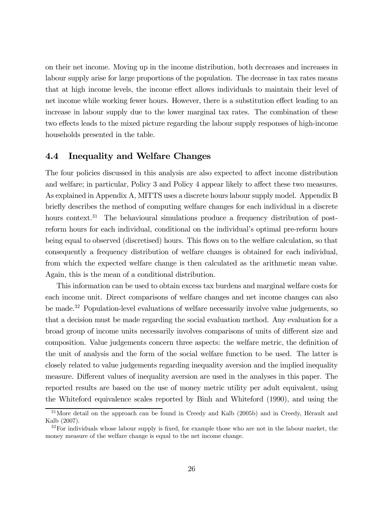on their net income. Moving up in the income distribution, both decreases and increases in labour supply arise for large proportions of the population. The decrease in tax rates means that at high income levels, the income effect allows individuals to maintain their level of net income while working fewer hours. However, there is a substitution effect leading to an increase in labour supply due to the lower marginal tax rates. The combination of these two effects leads to the mixed picture regarding the labour supply responses of high-income households presented in the table.

### 4.4 Inequality and Welfare Changes

The four policies discussed in this analysis are also expected to affect income distribution and welfare; in particular, Policy 3 and Policy 4 appear likely to affect these two measures. As explained in Appendix A, MITTS uses a discrete hours labour supply model. Appendix B briefly describes the method of computing welfare changes for each individual in a discrete hours context.<sup>31</sup> The behavioural simulations produce a frequency distribution of postreform hours for each individual, conditional on the individual's optimal pre-reform hours being equal to observed (discretised) hours. This flows on to the welfare calculation, so that consequently a frequency distribution of welfare changes is obtained for each individual, from which the expected welfare change is then calculated as the arithmetic mean value. Again, this is the mean of a conditional distribution.

This information can be used to obtain excess tax burdens and marginal welfare costs for each income unit. Direct comparisons of welfare changes and net income changes can also be made.<sup>32</sup> Population-level evaluations of welfare necessarily involve value judgements, so that a decision must be made regarding the social evaluation method. Any evaluation for a broad group of income units necessarily involves comparisons of units of different size and composition. Value judgements concern three aspects: the welfare metric, the definition of the unit of analysis and the form of the social welfare function to be used. The latter is closely related to value judgements regarding inequality aversion and the implied inequality measure. Different values of inequality aversion are used in the analyses in this paper. The reported results are based on the use of money metric utility per adult equivalent, using the Whiteford equivalence scales reported by Binh and Whiteford (1990), and using the

<sup>&</sup>lt;sup>31</sup>More detail on the approach can be found in Creedy and Kalb (2005b) and in Creedy, Hérault and Kalb (2007).

 $32$ For individuals whose labour supply is fixed, for example those who are not in the labour market, the money measure of the welfare change is equal to the net income change.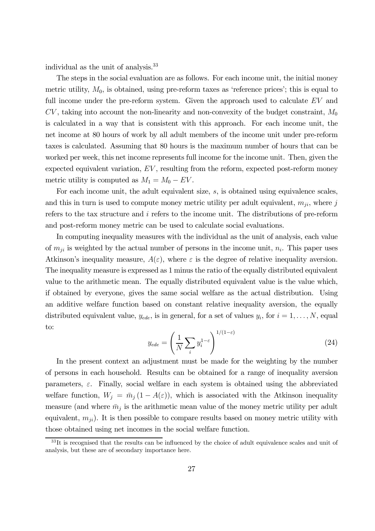individual as the unit of analysis.33

The steps in the social evaluation are as follows. For each income unit, the initial money metric utility,  $M_0$ , is obtained, using pre-reform taxes as 'reference prices'; this is equal to full income under the pre-reform system. Given the approach used to calculate EV and  $CV$ , taking into account the non-linearity and non-convexity of the budget constraint,  $M_0$ is calculated in a way that is consistent with this approach. For each income unit, the net income at 80 hours of work by all adult members of the income unit under pre-reform taxes is calculated. Assuming that 80 hours is the maximum number of hours that can be worked per week, this net income represents full income for the income unit. Then, given the expected equivalent variation,  $EV$ , resulting from the reform, expected post-reform money metric utility is computed as  $M_1 = M_0 - EV$ .

For each income unit, the adult equivalent size, s, is obtained using equivalence scales, and this in turn is used to compute money metric utility per adult equivalent,  $m_{ji}$ , where j refers to the tax structure and i refers to the income unit. The distributions of pre-reform and post-reform money metric can be used to calculate social evaluations.

In computing inequality measures with the individual as the unit of analysis, each value of  $m_{ji}$  is weighted by the actual number of persons in the income unit,  $n_i$ . This paper uses Atkinson's inequality measure,  $A(\varepsilon)$ , where  $\varepsilon$  is the degree of relative inequality aversion. The inequality measure is expressed as 1 minus the ratio of the equally distributed equivalent value to the arithmetic mean. The equally distributed equivalent value is the value which, if obtained by everyone, gives the same social welfare as the actual distribution. Using an additive welfare function based on constant relative inequality aversion, the equally distributed equivalent value,  $y_{ede}$ , is in general, for a set of values  $y_i$ , for  $i = 1, \ldots, N$ , equal to:

$$
y_{ede} = \left(\frac{1}{N} \sum_{i} y_i^{1-\varepsilon}\right)^{1/(1-\varepsilon)}
$$
\n(24)

In the present context an adjustment must be made for the weighting by the number of persons in each household. Results can be obtained for a range of inequality aversion parameters,  $\varepsilon$ . Finally, social welfare in each system is obtained using the abbreviated welfare function,  $W_j = \bar{m}_j (1 - A(\varepsilon))$ , which is associated with the Atkinson inequality measure (and where  $\bar{m}_j$  is the arithmetic mean value of the money metric utility per adult equivalent,  $m_{ii}$ ). It is then possible to compare results based on money metric utility with those obtained using net incomes in the social welfare function.

 $33$ It is recognised that the results can be influenced by the choice of adult equivalence scales and unit of analysis, but these are of secondary importance here.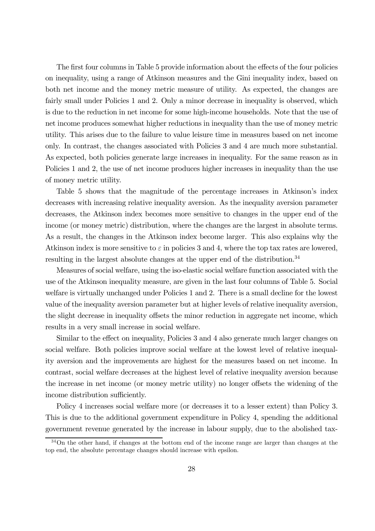The first four columns in Table 5 provide information about the effects of the four policies on inequality, using a range of Atkinson measures and the Gini inequality index, based on both net income and the money metric measure of utility. As expected, the changes are fairly small under Policies 1 and 2. Only a minor decrease in inequality is observed, which is due to the reduction in net income for some high-income households. Note that the use of net income produces somewhat higher reductions in inequality than the use of money metric utility. This arises due to the failure to value leisure time in measures based on net income only. In contrast, the changes associated with Policies 3 and 4 are much more substantial. As expected, both policies generate large increases in inequality. For the same reason as in Policies 1 and 2, the use of net income produces higher increases in inequality than the use of money metric utility.

Table 5 shows that the magnitude of the percentage increases in Atkinson's index decreases with increasing relative inequality aversion. As the inequality aversion parameter decreases, the Atkinson index becomes more sensitive to changes in the upper end of the income (or money metric) distribution, where the changes are the largest in absolute terms. As a result, the changes in the Atkinson index become larger. This also explains why the Atkinson index is more sensitive to  $\varepsilon$  in policies 3 and 4, where the top tax rates are lowered, resulting in the largest absolute changes at the upper end of the distribution.<sup>34</sup>

Measures of social welfare, using the iso-elastic social welfare function associated with the use of the Atkinson inequality measure, are given in the last four columns of Table 5. Social welfare is virtually unchanged under Policies 1 and 2. There is a small decline for the lowest value of the inequality aversion parameter but at higher levels of relative inequality aversion, the slight decrease in inequality offsets the minor reduction in aggregate net income, which results in a very small increase in social welfare.

Similar to the effect on inequality, Policies 3 and 4 also generate much larger changes on social welfare. Both policies improve social welfare at the lowest level of relative inequality aversion and the improvements are highest for the measures based on net income. In contrast, social welfare decreases at the highest level of relative inequality aversion because the increase in net income (or money metric utility) no longer offsets the widening of the income distribution sufficiently.

Policy 4 increases social welfare more (or decreases it to a lesser extent) than Policy 3. This is due to the additional government expenditure in Policy 4, spending the additional government revenue generated by the increase in labour supply, due to the abolished tax-

<sup>&</sup>lt;sup>34</sup>On the other hand, if changes at the bottom end of the income range are larger than changes at the top end, the absolute percentage changes should increase with epsilon.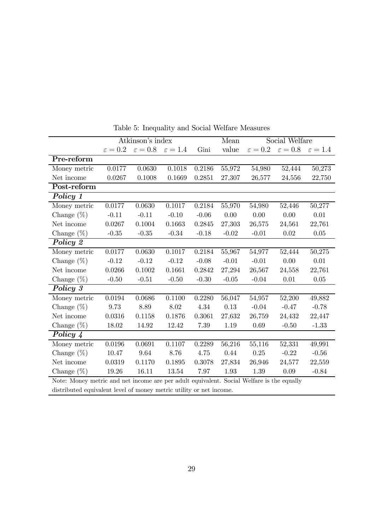|                                                                                           |                     | Atkinson's index    |                     |         | Mean    | Social Welfare    |                     |                     |
|-------------------------------------------------------------------------------------------|---------------------|---------------------|---------------------|---------|---------|-------------------|---------------------|---------------------|
|                                                                                           | $\varepsilon = 0.2$ | $\varepsilon = 0.8$ | $\varepsilon = 1.4$ | Gini    | value   | $\varepsilon=0.2$ | $\varepsilon = 0.8$ | $\varepsilon = 1.4$ |
| Pre-reform                                                                                |                     |                     |                     |         |         |                   |                     |                     |
| Money metric                                                                              | 0.0177              | 0.0630              | 0.1018              | 0.2186  | 55,972  | 54,980            | 52,444              | 50,273              |
| Net income                                                                                | 0.0267              | 0.1008              | 0.1669              | 0.2851  | 27,307  | 26,577            | 24,556              | 22,750              |
| Post-reform                                                                               |                     |                     |                     |         |         |                   |                     |                     |
| Policy 1                                                                                  |                     |                     |                     |         |         |                   |                     |                     |
| Money metric                                                                              | 0.0177              | 0.0630              | 0.1017              | 0.2184  | 55,970  | 54,980            | 52,446              | 50,277              |
| Change $(\%)$                                                                             | $-0.11$             | $-0.11$             | $-0.10$             | $-0.06$ | 0.00    | 0.00              | 0.00                | 0.01                |
| Net income                                                                                | 0.0267              | 0.1004              | 0.1663              | 0.2845  | 27,303  | 26,575            | 24,561              | 22,761              |
| Change $(\%)$                                                                             | $-0.35$             | $-0.35$             | $-0.34$             | $-0.18$ | $-0.02$ | $-0.01$           | $0.02\,$            | 0.05                |
| Policy 2                                                                                  |                     |                     |                     |         |         |                   |                     |                     |
| Money metric                                                                              | 0.0177              | 0.0630              | 0.1017              | 0.2184  | 55,967  | 54,977            | 52,444              | 50,275              |
| Change $(\%)$                                                                             | $-0.12$             | $-0.12$             | $-0.12$             | $-0.08$ | $-0.01$ | $-0.01$           | 0.00                | 0.01                |
| Net income                                                                                | 0.0266              | 0.1002              | 0.1661              | 0.2842  | 27,294  | 26,567            | 24,558              | 22,761              |
| Change $(\%)$                                                                             | $-0.50$             | $-0.51$             | $-0.50$             | $-0.30$ | $-0.05$ | $-0.04$           | 0.01                | 0.05                |
| Policy 3                                                                                  |                     |                     |                     |         |         |                   |                     |                     |
| Money metric                                                                              | 0.0194              | 0.0686              | 0.1100              | 0.2280  | 56,047  | 54,957            | 52,200              | 49,882              |
| Change $(\%)$                                                                             | 9.73                | 8.89                | 8.02                | 4.34    | 0.13    | $-0.04$           | $-0.47$             | $-0.78$             |
| Net income                                                                                | 0.0316              | 0.1158              | 0.1876              | 0.3061  | 27,632  | 26,759            | 24,432              | 22,447              |
| Change $(\%)$                                                                             | 18.02               | 14.92               | 12.42               | 7.39    | 1.19    | 0.69              | $-0.50$             | $-1.33$             |
| Policy 4                                                                                  |                     |                     |                     |         |         |                   |                     |                     |
| Money metric                                                                              | 0.0196              | 0.0691              | 0.1107              | 0.2289  | 56,216  | 55,116            | 52,331              | 49,991              |
| Change $(\%)$                                                                             | $10.47\,$           | 9.64                | 8.76                | 4.75    | 0.44    | 0.25              | $-0.22$             | $-0.56$             |
| Net income                                                                                | 0.0319              | 0.1170              | 0.1895              | 0.3078  | 27,834  | 26,946            | 24,577              | 22,559              |
| 1.93<br>1.39<br>0.09<br>Change $(\%)$<br>19.26<br>16.11<br>13.54<br>7.97                  |                     |                     |                     |         |         | $-0.84$           |                     |                     |
| Note: Money metric and net income are per adult equivalent. Social Welfare is the equally |                     |                     |                     |         |         |                   |                     |                     |

Table 5: Inequality and Social Welfare Measures

distributed equivalent level of money metric utility or net income.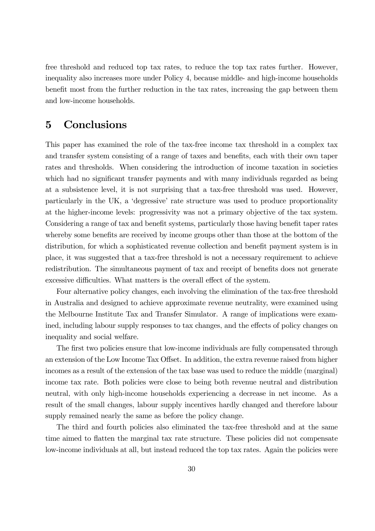free threshold and reduced top tax rates, to reduce the top tax rates further. However, inequality also increases more under Policy 4, because middle- and high-income households benefit most from the further reduction in the tax rates, increasing the gap between them and low-income households.

# 5 Conclusions

This paper has examined the role of the tax-free income tax threshold in a complex tax and transfer system consisting of a range of taxes and benefits, each with their own taper rates and thresholds. When considering the introduction of income taxation in societies which had no significant transfer payments and with many individuals regarded as being at a subsistence level, it is not surprising that a tax-free threshold was used. However, particularly in the UK, a 'degressive' rate structure was used to produce proportionality at the higher-income levels: progressivity was not a primary objective of the tax system. Considering a range of tax and benefit systems, particularly those having benefit taper rates whereby some benefits are received by income groups other than those at the bottom of the distribution, for which a sophisticated revenue collection and benefit payment system is in place, it was suggested that a tax-free threshold is not a necessary requirement to achieve redistribution. The simultaneous payment of tax and receipt of benefits does not generate excessive difficulties. What matters is the overall effect of the system.

Four alternative policy changes, each involving the elimination of the tax-free threshold in Australia and designed to achieve approximate revenue neutrality, were examined using the Melbourne Institute Tax and Transfer Simulator. A range of implications were examined, including labour supply responses to tax changes, and the effects of policy changes on inequality and social welfare.

The first two policies ensure that low-income individuals are fully compensated through an extension of the Low Income Tax Offset. In addition, the extra revenue raised from higher incomes as a result of the extension of the tax base was used to reduce the middle (marginal) income tax rate. Both policies were close to being both revenue neutral and distribution neutral, with only high-income households experiencing a decrease in net income. As a result of the small changes, labour supply incentives hardly changed and therefore labour supply remained nearly the same as before the policy change.

The third and fourth policies also eliminated the tax-free threshold and at the same time aimed to flatten the marginal tax rate structure. These policies did not compensate low-income individuals at all, but instead reduced the top tax rates. Again the policies were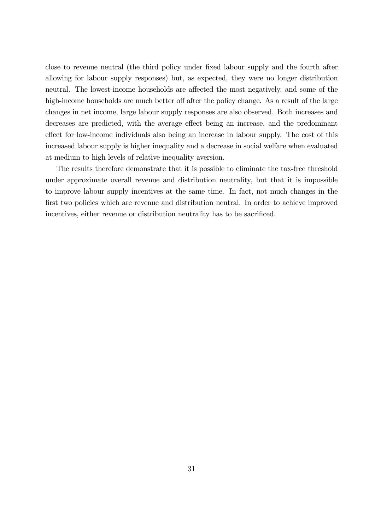close to revenue neutral (the third policy under fixed labour supply and the fourth after allowing for labour supply responses) but, as expected, they were no longer distribution neutral. The lowest-income households are affected the most negatively, and some of the high-income households are much better off after the policy change. As a result of the large changes in net income, large labour supply responses are also observed. Both increases and decreases are predicted, with the average effect being an increase, and the predominant effect for low-income individuals also being an increase in labour supply. The cost of this increased labour supply is higher inequality and a decrease in social welfare when evaluated at medium to high levels of relative inequality aversion.

The results therefore demonstrate that it is possible to eliminate the tax-free threshold under approximate overall revenue and distribution neutrality, but that it is impossible to improve labour supply incentives at the same time. In fact, not much changes in the first two policies which are revenue and distribution neutral. In order to achieve improved incentives, either revenue or distribution neutrality has to be sacrificed.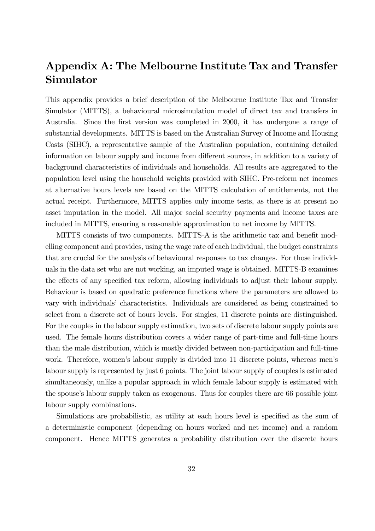# Appendix A: The Melbourne Institute Tax and Transfer Simulator

This appendix provides a brief description of the Melbourne Institute Tax and Transfer Simulator (MITTS), a behavioural microsimulation model of direct tax and transfers in Australia. Since the first version was completed in 2000, it has undergone a range of substantial developments. MITTS is based on the Australian Survey of Income and Housing Costs (SIHC), a representative sample of the Australian population, containing detailed information on labour supply and income from different sources, in addition to a variety of background characteristics of individuals and households. All results are aggregated to the population level using the household weights provided with SIHC. Pre-reform net incomes at alternative hours levels are based on the MITTS calculation of entitlements, not the actual receipt. Furthermore, MITTS applies only income tests, as there is at present no asset imputation in the model. All major social security payments and income taxes are included in MITTS, ensuring a reasonable approximation to net income by MITTS.

MITTS consists of two components. MITTS-A is the arithmetic tax and benefit modelling component and provides, using the wage rate of each individual, the budget constraints that are crucial for the analysis of behavioural responses to tax changes. For those individuals in the data set who are not working, an imputed wage is obtained. MITTS-B examines the effects of any specified tax reform, allowing individuals to adjust their labour supply. Behaviour is based on quadratic preference functions where the parameters are allowed to vary with individuals' characteristics. Individuals are considered as being constrained to select from a discrete set of hours levels. For singles, 11 discrete points are distinguished. For the couples in the labour supply estimation, two sets of discrete labour supply points are used. The female hours distribution covers a wider range of part-time and full-time hours than the male distribution, which is mostly divided between non-participation and full-time work. Therefore, women's labour supply is divided into 11 discrete points, whereas men's labour supply is represented by just 6 points. The joint labour supply of couples is estimated simultaneously, unlike a popular approach in which female labour supply is estimated with the spouse's labour supply taken as exogenous. Thus for couples there are 66 possible joint labour supply combinations.

Simulations are probabilistic, as utility at each hours level is specified as the sum of a deterministic component (depending on hours worked and net income) and a random component. Hence MITTS generates a probability distribution over the discrete hours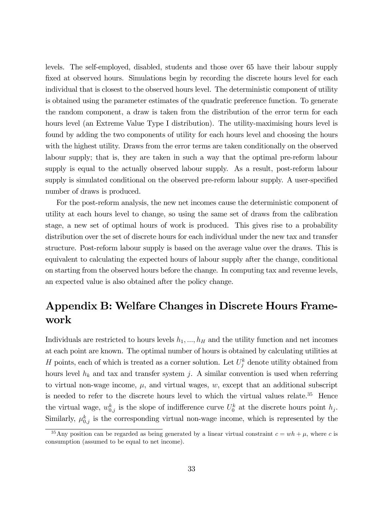levels. The self-employed, disabled, students and those over 65 have their labour supply fixed at observed hours. Simulations begin by recording the discrete hours level for each individual that is closest to the observed hours level. The deterministic component of utility is obtained using the parameter estimates of the quadratic preference function. To generate the random component, a draw is taken from the distribution of the error term for each hours level (an Extreme Value Type I distribution). The utility-maximising hours level is found by adding the two components of utility for each hours level and choosing the hours with the highest utility. Draws from the error terms are taken conditionally on the observed labour supply; that is, they are taken in such a way that the optimal pre-reform labour supply is equal to the actually observed labour supply. As a result, post-reform labour supply is simulated conditional on the observed pre-reform labour supply. A user-specified number of draws is produced.

For the post-reform analysis, the new net incomes cause the deterministic component of utility at each hours level to change, so using the same set of draws from the calibration stage, a new set of optimal hours of work is produced. This gives rise to a probability distribution over the set of discrete hours for each individual under the new tax and transfer structure. Post-reform labour supply is based on the average value over the draws. This is equivalent to calculating the expected hours of labour supply after the change, conditional on starting from the observed hours before the change. In computing tax and revenue levels, an expected value is also obtained after the policy change.

# Appendix B: Welfare Changes in Discrete Hours Framework

Individuals are restricted to hours levels  $h_1, ..., h_H$  and the utility function and net incomes at each point are known. The optimal number of hours is obtained by calculating utilities at H points, each of which is treated as a corner solution. Let  $U_j^k$  denote utility obtained from hours level  $h_k$  and tax and transfer system j. A similar convention is used when referring to virtual non-wage income,  $\mu$ , and virtual wages,  $w$ , except that an additional subscript is needed to refer to the discrete hours level to which the virtual values relate.<sup>35</sup> Hence the virtual wage,  $w_{0,j}^k$  is the slope of indifference curve  $U_0^k$  at the discrete hours point  $h_j$ . Similarly,  $\mu_{0,j}^k$  is the corresponding virtual non-wage income, which is represented by the

<sup>&</sup>lt;sup>35</sup>Any position can be regarded as being generated by a linear virtual constraint  $c = wh + \mu$ , where c is consumption (assumed to be equal to net income).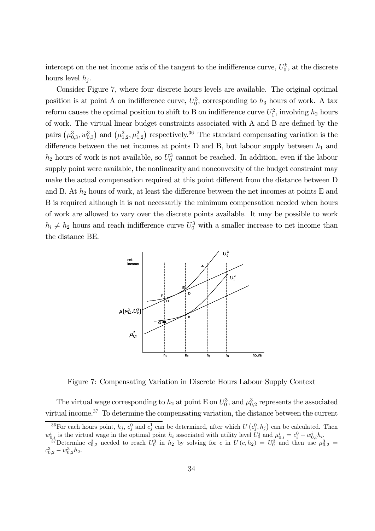intercept on the net income axis of the tangent to the indifference curve,  $U_0^k$ , at the discrete hours level  $h_i$ .

Consider Figure 7, where four discrete hours levels are available. The original optimal position is at point A on indifference curve,  $U_0^3$ , corresponding to  $h_3$  hours of work. A tax reform causes the optimal position to shift to B on indifference curve  $U_1^2$ , involving  $h_2$  hours of work. The virtual linear budget constraints associated with A and B are defined by the pairs  $(\mu_{0,3}^3, \omega_{0,3}^3)$  and  $(\mu_{1,2}^2, \mu_{1,2}^2)$  respectively.<sup>36</sup> The standard compensating variation is the difference between the net incomes at points D and B, but labour supply between  $h_1$  and  $h_2$  hours of work is not available, so  $U_0^3$  cannot be reached. In addition, even if the labour supply point were available, the nonlinearity and nonconvexity of the budget constraint may make the actual compensation required at this point different from the distance between D and B. At  $h_2$  hours of work, at least the difference between the net incomes at points E and B is required although it is not necessarily the minimum compensation needed when hours of work are allowed to vary over the discrete points available. It may be possible to work  $h_i \neq h_2$  hours and reach indifference curve  $U_0^3$  with a smaller increase to net income than the distance BE.



Figure 7: Compensating Variation in Discrete Hours Labour Supply Context

The virtual wage corresponding to  $h_2$  at point E on  $U_0^3$ , and  $\mu_{0,2}^3$  represents the associated virtual income.37 To determine the compensating variation, the distance between the current

<sup>&</sup>lt;sup>36</sup>For each hours point,  $h_j$ ,  $c_j^0$  and  $c_j^1$  can be determined, after which  $U(c_j^0, h_j)$  can be calculated. Then  $w_{0,i}^i$  is the virtual wage in the optimal point  $h_i$  associated with utility level  $U_0^i$  and  $\mu_{0,i}^i = c_i^0 - w_{0,i}^i h_i$ .<br><sup>37</sup>Determine  $c_{0,2}^3$  needed to reach  $U_0^3$  in  $h_2$  by solving for c in  $U(c, h_2) = U_0^3$  an  $c_{0,2}^3 - w_{0,2}^3 h_2.$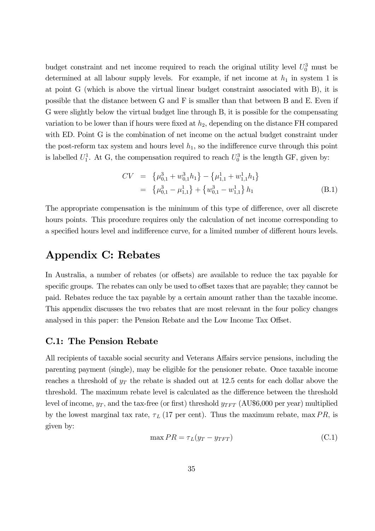budget constraint and net income required to reach the original utility level  $U_0^3$  must be determined at all labour supply levels. For example, if net income at  $h_1$  in system 1 is at point G (which is above the virtual linear budget constraint associated with B), it is possible that the distance between G and F is smaller than that between B and E. Even if G were slightly below the virtual budget line through B, it is possible for the compensating variation to be lower than if hours were fixed at  $h_2$ , depending on the distance FH compared with ED. Point G is the combination of net income on the actual budget constraint under the post-reform tax system and hours level  $h_1$ , so the indifference curve through this point is labelled  $U_1^1$ . At G, the compensation required to reach  $U_0^3$  is the length GF, given by:

$$
CV = \begin{cases} \mu_{0,1}^3 + w_{0,1}^3 h_1 \right\} - \left\{ \mu_{1,1}^1 + w_{1,1}^1 h_1 \right\} \\ = \left\{ \mu_{0,1}^3 - \mu_{1,1}^1 \right\} + \left\{ w_{0,1}^3 - w_{1,1}^1 \right\} h_1 \end{cases}
$$
(B.1)

The appropriate compensation is the minimum of this type of difference, over all discrete hours points. This procedure requires only the calculation of net income corresponding to a specified hours level and indifference curve, for a limited number of different hours levels.

# Appendix C: Rebates

In Australia, a number of rebates (or offsets) are available to reduce the tax payable for specific groups. The rebates can only be used to offset taxes that are payable; they cannot be paid. Rebates reduce the tax payable by a certain amount rather than the taxable income. This appendix discusses the two rebates that are most relevant in the four policy changes analysed in this paper: the Pension Rebate and the Low Income Tax Offset.

## C.1: The Pension Rebate

All recipients of taxable social security and Veterans Affairs service pensions, including the parenting payment (single), may be eligible for the pensioner rebate. Once taxable income reaches a threshold of  $y_T$  the rebate is shaded out at 12.5 cents for each dollar above the threshold. The maximum rebate level is calculated as the difference between the threshold level of income,  $y_T$ , and the tax-free (or first) threshold  $y_{TFT}$  (AU\$6,000 per year) multiplied by the lowest marginal tax rate,  $\tau_L$  (17 per cent). Thus the maximum rebate, max PR, is given by:

$$
\max PR = \tau_L(y_T - y_{TFT})
$$
\n(C.1)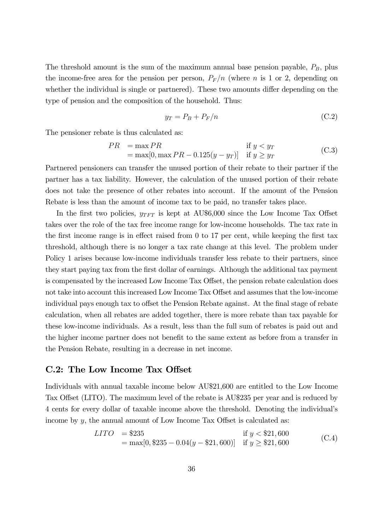The threshold amount is the sum of the maximum annual base pension payable,  $P_B$ , plus the income-free area for the pension per person,  $P_F/n$  (where n is 1 or 2, depending on whether the individual is single or partnered). These two amounts differ depending on the type of pension and the composition of the household. Thus:

$$
y_T = P_B + P_F/n \tag{C.2}
$$

The pensioner rebate is thus calculated as:

$$
PR = \max PR
$$
 if  $y < y_T$   
=  $\max[0, \max PR - 0.125(y - y_T)]$  if  $y \ge y_T$  (C.3)

Partnered pensioners can transfer the unused portion of their rebate to their partner if the partner has a tax liability. However, the calculation of the unused portion of their rebate does not take the presence of other rebates into account. If the amount of the Pension Rebate is less than the amount of income tax to be paid, no transfer takes place.

In the first two policies,  $y_{TFT}$  is kept at AU\$6,000 since the Low Income Tax Offset takes over the role of the tax free income range for low-income households. The tax rate in the first income range is in effect raised from 0 to 17 per cent, while keeping the first tax threshold, although there is no longer a tax rate change at this level. The problem under Policy 1 arises because low-income individuals transfer less rebate to their partners, since they start paying tax from the first dollar of earnings. Although the additional tax payment is compensated by the increased Low Income Tax Offset, the pension rebate calculation does not take into account this increased Low Income Tax Offset and assumes that the low-income individual pays enough tax to offset the Pension Rebate against. At the final stage of rebate calculation, when all rebates are added together, there is more rebate than tax payable for these low-income individuals. As a result, less than the full sum of rebates is paid out and the higher income partner does not benefit to the same extent as before from a transfer in the Pension Rebate, resulting in a decrease in net income.

### C.2: The Low Income Tax Offset

Individuals with annual taxable income below AU\$21,600 are entitled to the Low Income Tax Offset (LITO). The maximum level of the rebate is AU\$235 per year and is reduced by 4 cents for every dollar of taxable income above the threshold. Denoting the individual's income by y, the annual amount of Low Income Tax Offset is calculated as:

$$
LITO = $235
$$
 if  $y < $21,600$   
= max[0, \$235 - 0.04(y - \$21,600)] if  $y \ge $21,600$  (C.4)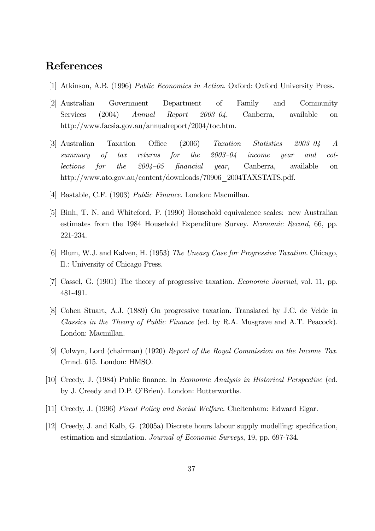# References

- [1] Atkinson, A.B. (1996) Public Economics in Action. Oxford: Oxford University Press.
- [2] Australian Government Department of Family and Community Services (2004) Annual Report 2003–04, Canberra, available on http://www.facsia.gov.au/annualreport/2004/toc.htm.
- [3] Australian Taxation Office (2006) Taxation Statistics 2003—04 A summary of tax returns for the 2003—04 income year and collections for the 2004—05 financial year, Canberra, available on http://www.ato.gov.au/content/downloads/70906\_2004TAXSTATS.pdf.
- [4] Bastable, C.F. (1903) Public Finance. London: Macmillan.
- [5] Binh, T. N. and Whiteford, P. (1990) Household equivalence scales: new Australian estimates from the 1984 Household Expenditure Survey. Economic Record, 66, pp. 221-234.
- [6] Blum, W.J. and Kalven, H. (1953) The Uneasy Case for Progressive Taxation. Chicago, Il.: University of Chicago Press.
- [7] Cassel, G. (1901) The theory of progressive taxation. Economic Journal, vol. 11, pp. 481-491.
- [8] Cohen Stuart, A.J. (1889) On progressive taxation. Translated by J.C. de Velde in Classics in the Theory of Public Finance (ed. by R.A. Musgrave and A.T. Peacock). London: Macmillan.
- [9] Colwyn, Lord (chairman) (1920) Report of the Royal Commission on the Income Tax. Cmnd. 615. London: HMSO.
- [10] Creedy, J. (1984) Public finance. In Economic Analysis in Historical Perspective (ed. by J. Creedy and D.P. O'Brien). London: Butterworths.
- [11] Creedy, J. (1996) Fiscal Policy and Social Welfare. Cheltenham: Edward Elgar.
- [12] Creedy, J. and Kalb, G. (2005a) Discrete hours labour supply modelling: specification, estimation and simulation. Journal of Economic Surveys, 19, pp. 697-734.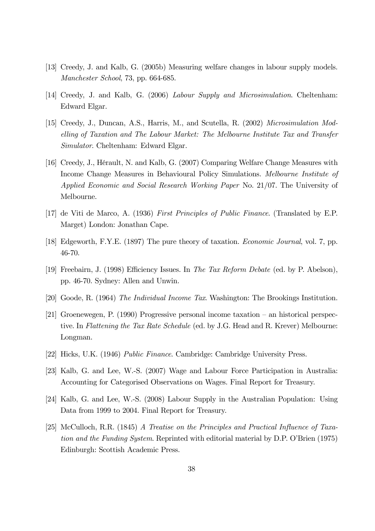- [13] Creedy, J. and Kalb, G. (2005b) Measuring welfare changes in labour supply models. Manchester School, 73, pp. 664-685.
- [14] Creedy, J. and Kalb, G. (2006) Labour Supply and Microsimulation. Cheltenham: Edward Elgar.
- [15] Creedy, J., Duncan, A.S., Harris, M., and Scutella, R. (2002) Microsimulation Modelling of Taxation and The Labour Market: The Melbourne Institute Tax and Transfer Simulator. Cheltenham: Edward Elgar.
- [16] Creedy, J., Hérault, N. and Kalb, G. (2007) Comparing Welfare Change Measures with Income Change Measures in Behavioural Policy Simulations. Melbourne Institute of Applied Economic and Social Research Working Paper No. 21/07. The University of Melbourne.
- [17] de Viti de Marco, A. (1936) First Principles of Public Finance. (Translated by E.P. Marget) London: Jonathan Cape.
- [18] Edgeworth, F.Y.E. (1897) The pure theory of taxation. Economic Journal, vol. 7, pp. 46-70.
- [19] Freebairn, J. (1998) Efficiency Issues. In The Tax Reform Debate (ed. by P. Abelson), pp. 46-70. Sydney: Allen and Unwin.
- [20] Goode, R. (1964) The Individual Income Tax. Washington: The Brookings Institution.
- [21] Groenewegen, P. (1990) Progressive personal income taxation an historical perspective. In Flattening the Tax Rate Schedule (ed. by J.G. Head and R. Krever) Melbourne: Longman.
- [22] Hicks, U.K. (1946) Public Finance. Cambridge: Cambridge University Press.
- [23] Kalb, G. and Lee, W.-S. (2007) Wage and Labour Force Participation in Australia: Accounting for Categorised Observations on Wages. Final Report for Treasury.
- [24] Kalb, G. and Lee, W.-S. (2008) Labour Supply in the Australian Population: Using Data from 1999 to 2004. Final Report for Treasury.
- [25] McCulloch, R.R. (1845) A Treatise on the Principles and Practical Influence of Taxation and the Funding System. Reprinted with editorial material by D.P. O'Brien (1975) Edinburgh: Scottish Academic Press.